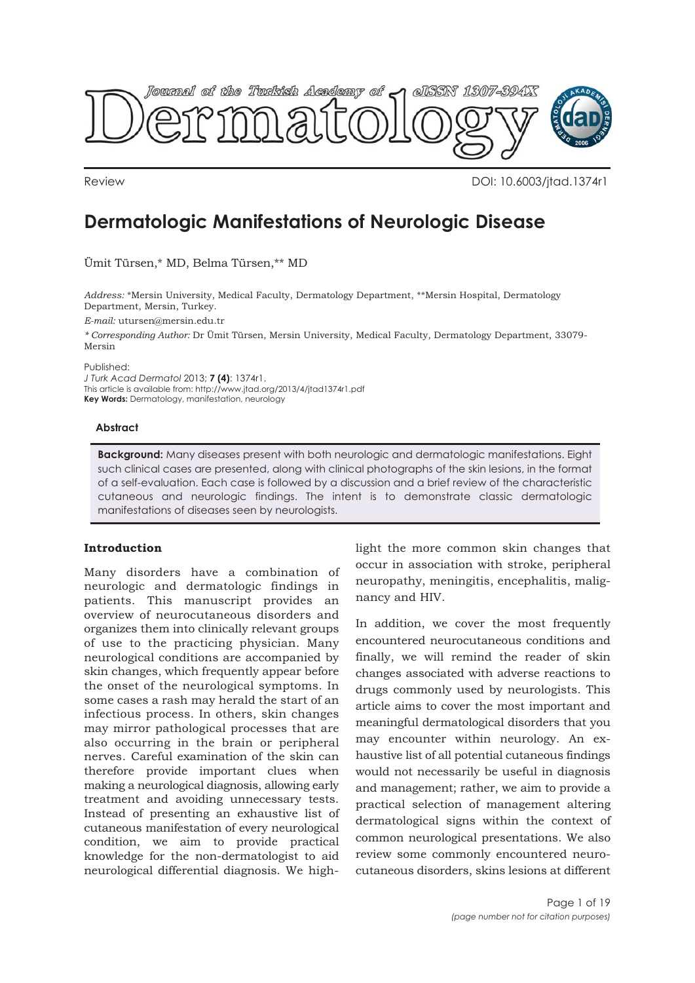

Review DOI: 10.6003/jtad.1374r1

# **Dermatologic Manifestations of Neurologic Disease**

Ümit Türsen,\* MD, Belma Türsen,\*\* MD

*Address:* \*Mersin University, Medical Faculty, Dermatology Department, \*\*Mersin Hospital, Dermatology Department, Mersin, Turkey.

*E-mail:* utursen@mersin.edu.tr

*\* Corresponding Author:* Dr Ümit Türsen, Mersin University, Medical Faculty, Dermatology Department, 33079- Mersin

Published:

*J Turk Acad Dermatol* 2013; **7 (4)**: 1374r1.

This article is available from: http://www.jtad.org/2013/4/jtad1374r1.pdf

**Key Words:** Dermatology, manifestation, neurology

#### **Abstract**

**Background:** Many diseases present with both neurologic and dermatologic manifestations. Eight such clinical cases are presented, along with clinical photographs of the skin lesions, in the format of a self-evaluation. Each case is followed by a discussion and a brief review of the characteristic cutaneous and neurologic findings. The intent is to demonstrate classic dermatologic manifestations of diseases seen by neurologists.

## **Introduction**

Many disorders have a combination of neurologic and dermatologic findings in patients. This manuscript provides an overview of neurocutaneous disorders and organizes them into clinically relevant groups of use to the practicing physician. Many neurological conditions are accompanied by skin changes, which frequently appear before the onset of the neurological symptoms. In some cases a rash may herald the start of an infectious process. In others, skin changes may mirror pathological processes that are also occurring in the brain or peripheral nerves. Careful examination of the skin can therefore provide important clues when making a neurological diagnosis, allowing early treatment and avoiding unnecessary tests. Instead of presenting an exhaustive list of cutaneous manifestation of every neurological condition, we aim to provide practical knowledge for the non-dermatologist to aid neurological differential diagnosis. We highlight the more common skin changes that occur in association with stroke, peripheral neuropathy, meningitis, encephalitis, malignancy and HIV.

In addition, we cover the most frequently encountered neurocutaneous conditions and finally, we will remind the reader of skin changes associated with adverse reactions to drugs commonly used by neurologists. This article aims to cover the most important and meaningful dermatological disorders that you may encounter within neurology. An exhaustive list of all potential cutaneous findings would not necessarily be useful in diagnosis and management; rather, we aim to provide a practical selection of management altering dermatological signs within the context of common neurological presentations. We also review some commonly encountered neurocutaneous disorders, skins lesions at different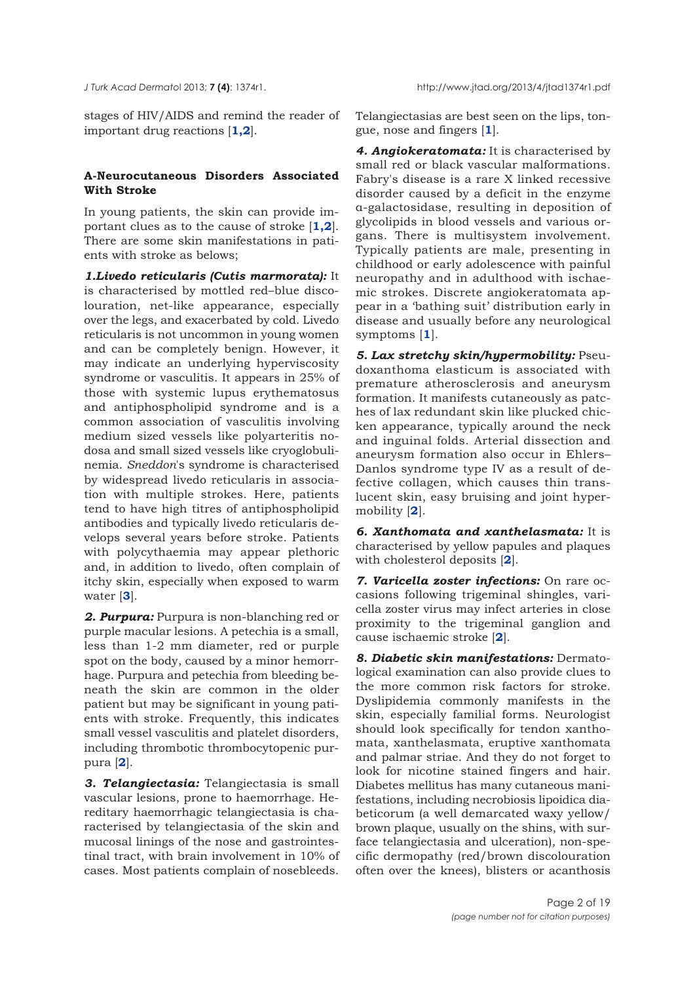stages of HIV/AIDS and remind the reader of important drug reactions [**1,2**].

## **A-Neurocutaneous Disorders Associated With Stroke**

In young patients, the skin can provide important clues as to the cause of stroke [**1,2**]. There are some skin manifestations in patients with stroke as belows;

*1.Livedo reticularis (Cutis marmorata):* It is characterised by mottled red–blue discolouration, net-like appearance, especially over the legs, and exacerbated by cold. Livedo reticularis is not uncommon in young women and can be completely benign. However, it may indicate an underlying hyperviscosity syndrome or vasculitis. It appears in 25% of those with systemic lupus erythematosus and antiphospholipid syndrome and is a common association of vasculitis involving medium sized vessels like polyarteritis nodosa and small sized vessels like cryoglobulinemia. *Sneddon*'s syndrome is characterised by widespread livedo reticularis in association with multiple strokes. Here, patients tend to have high titres of antiphospholipid antibodies and typically livedo reticularis develops several years before stroke. Patients with polycythaemia may appear plethoric and, in addition to livedo, often complain of itchy skin, especially when exposed to warm water [**3**].

*2. Purpura:* Purpura is non-blanching red or purple macular lesions. A petechia is a small, less than 1-2 mm diameter, red or purple spot on the body, caused by a minor hemorrhage. Purpura and petechia from bleeding beneath the skin are common in the older patient but may be significant in young patients with stroke. Frequently, this indicates small vessel vasculitis and platelet disorders, including thrombotic thrombocytopenic purpura [**2**].

*3. Telangiectasia:* Telangiectasia is small vascular lesions, prone to haemorrhage. Hereditary haemorrhagic telangiectasia is characterised by telangiectasia of the skin and mucosal linings of the nose and gastrointestinal tract, with brain involvement in 10% of cases. Most patients complain of nosebleeds.

Telangiectasias are best seen on the lips, tongue, nose and fingers [**1**].

*4. Angiokeratomata:* It is characterised by small red or black vascular malformations. Fabry's disease is a rare X linked recessive disorder caused by a deficit in the enzyme α-galactosidase, resulting in deposition of glycolipids in blood vessels and various organs. There is multisystem involvement. Typically patients are male, presenting in childhood or early adolescence with painful neuropathy and in adulthood with ischaemic strokes. Discrete angiokeratomata appear in a 'bathing suit' distribution early in disease and usually before any neurological symptoms [**1**].

*5. Lax stretchy skin/hypermobility:* Pseudoxanthoma elasticum is associated with premature atherosclerosis and aneurysm formation. It manifests cutaneously as patches of lax redundant skin like plucked chicken appearance, typically around the neck and inguinal folds. Arterial dissection and aneurysm formation also occur in Ehlers– Danlos syndrome type IV as a result of defective collagen, which causes thin translucent skin, easy bruising and joint hypermobility [**2**].

*6. Xanthomata and xanthelasmata:* It is characterised by yellow papules and plaques with cholesterol deposits [**2**].

*7. Varicella zoster infections:* On rare occasions following trigeminal shingles, varicella zoster virus may infect arteries in close proximity to the trigeminal ganglion and cause ischaemic stroke [**2**].

*8. Diabetic skin manifestations:* Dermatological examination can also provide clues to the more common risk factors for stroke. Dyslipidemia commonly manifests in the skin, especially familial forms. Neurologist should look specifically for tendon xanthomata, xanthelasmata, eruptive xanthomata and palmar striae. And they do not forget to look for nicotine stained fingers and hair. Diabetes mellitus has many cutaneous manifestations, including necrobiosis lipoidica diabeticorum (a well demarcated waxy yellow/ brown plaque, usually on the shins, with surface telangiectasia and ulceration), non-specific dermopathy (red/brown discolouration often over the knees), blisters or acanthosis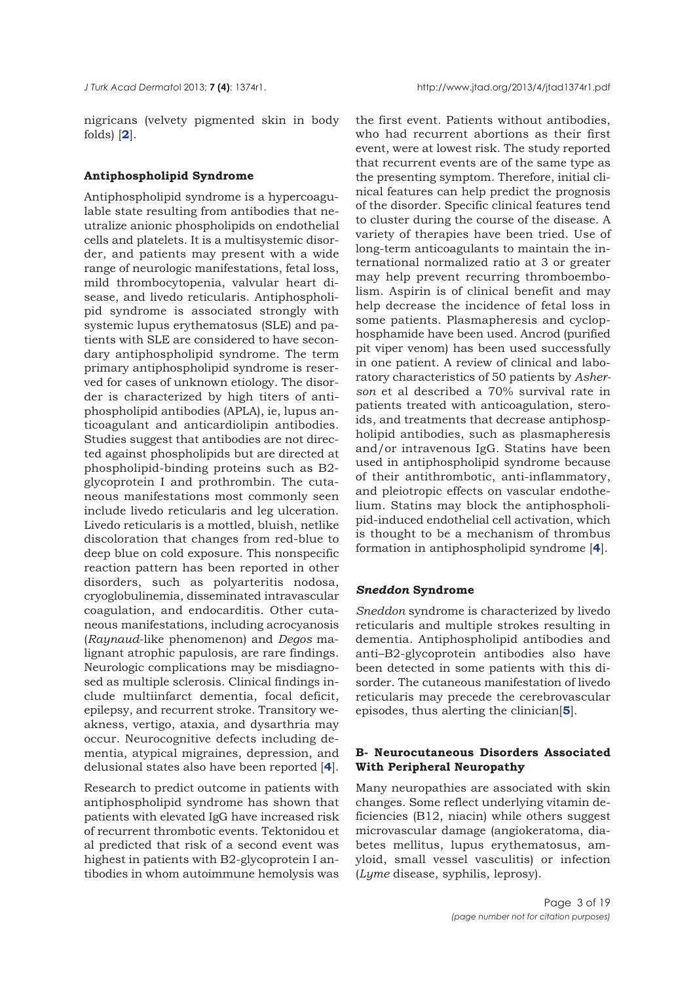nigricans (velvety pigmented skin in body folds) [**2**].

#### **Antiphospholipid Syndrome**

Antiphospholipid syndrome is a hypercoagulable state resulting from antibodies that neutralize anionic phospholipids on endothelial cells and platelets. It is a multisystemic disorder, and patients may present with a wide range of neurologic manifestations, fetal loss, mild thrombocytopenia, valvular heart disease, and livedo reticularis. Antiphospholipid syndrome is associated strongly with systemic lupus erythematosus (SLE) and patients with SLE are considered to have secondary antiphospholipid syndrome. The term primary antiphospholipid syndrome is reserved for cases of unknown etiology. The disorder is characterized by high titers of antiphospholipid antibodies (APLA), ie, lupus anticoagulant and anticardiolipin antibodies. Studies suggest that antibodies are not directed against phospholipids but are directed at phospholipid-binding proteins such as B2 glycoprotein I and prothrombin. The cutaneous manifestations most commonly seen include livedo reticularis and leg ulceration. Livedo reticularis is a mottled, bluish, netlike discoloration that changes from red-blue to deep blue on cold exposure. This nonspecific reaction pattern has been reported in other disorders, such as polyarteritis nodosa, cryoglobulinemia, disseminated intravascular coagulation, and endocarditis. Other cutaneous manifestations, including acrocyanosis (*Raynaud*-like phenomenon) and *Degos* malignant atrophic papulosis, are rare findings. Neurologic complications may be misdiagnosed as multiple sclerosis. Clinical findings include multiinfarct dementia, focal deficit, epilepsy, and recurrent stroke. Transitory weakness, vertigo, ataxia, and dysarthria may occur. Neurocognitive defects including dementia, atypical migraines, depression, and delusional states also have been reported [**4**].

Research to predict outcome in patients with antiphospholipid syndrome has shown that patients with elevated IgG have increased risk of recurrent thrombotic events. Tektonidou et al predicted that risk of a second event was highest in patients with B2-glycoprotein I antibodies in whom autoimmune hemolysis was

the first event. Patients without antibodies, who had recurrent abortions as their first event, were at lowest risk. The study reported that recurrent events are of the same type as the presenting symptom. Therefore, initial clinical features can help predict the prognosis of the disorder. Specific clinical features tend to cluster during the course of the disease. A variety of therapies have been tried. Use of long-term anticoagulants to maintain the international normalized ratio at 3 or greater may help prevent recurring thromboembolism. Aspirin is of clinical benefit and may help decrease the incidence of fetal loss in some patients. Plasmapheresis and cyclophosphamide have been used. Ancrod (purified pit viper venom) has been used successfully in one patient. A review of clinical and laboratory characteristics of 50 patients by *Asherson* et al described a 70% survival rate in patients treated with anticoagulation, steroids, and treatments that decrease antiphospholipid antibodies, such as plasmapheresis and/or intravenous IgG. Statins have been used in antiphospholipid syndrome because of their antithrombotic, anti-inflammatory, and pleiotropic effects on vascular endothelium. Statins may block the antiphospholipid-induced endothelial cell activation, which is thought to be a mechanism of thrombus formation in antiphospholipid syndrome [**4**].

#### *Sneddon* **Syndrome**

*Sneddon* syndrome is characterized by livedo reticularis and multiple strokes resulting in dementia. Antiphospholipid antibodies and anti–B2-glycoprotein antibodies also have been detected in some patients with this disorder. The cutaneous manifestation of livedo reticularis may precede the cerebrovascular episodes, thus alerting the clinician[**5**].

## **B- Neurocutaneous Disorders Associated With Peripheral Neuropathy**

Many neuropathies are associated with skin changes. Some reflect underlying vitamin deficiencies (B12, niacin) while others suggest microvascular damage (angiokeratoma, diabetes mellitus, lupus erythematosus, amyloid, small vessel vasculitis) or infection (*Lyme* disease, syphilis, leprosy).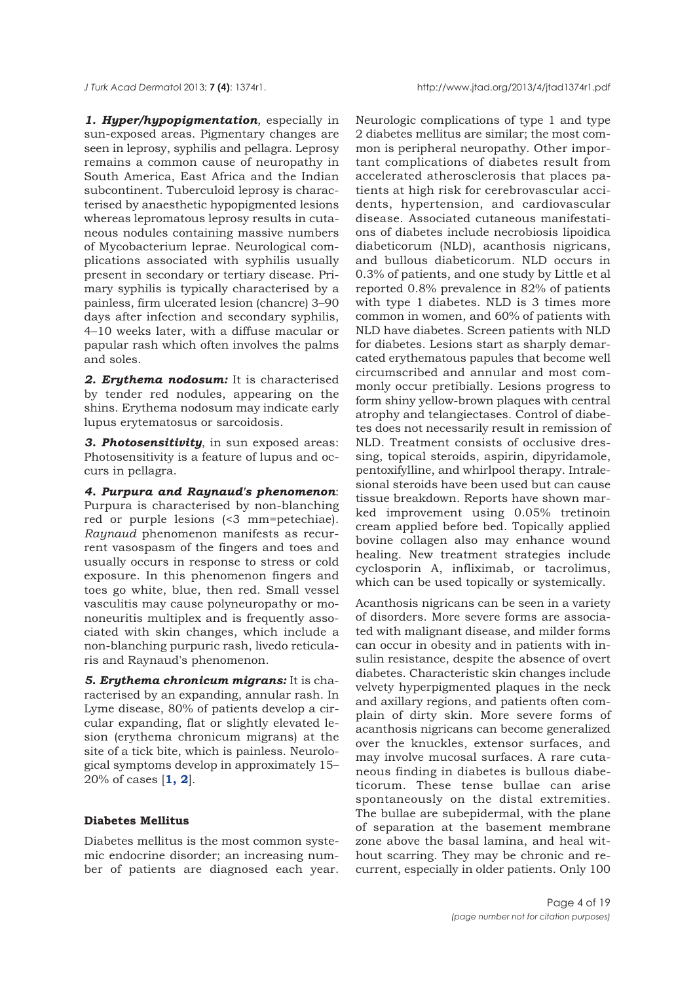*J Turk Acad Dermato*l 2013; **7 (4)**: 1374r1. http://www.jtad.org/2013/4/jtad1374r1.pdf

*1. Hyper/hypopigmentation*, especially in sun-exposed areas. Pigmentary changes are seen in leprosy, syphilis and pellagra. Leprosy remains a common cause of neuropathy in South America, East Africa and the Indian subcontinent. Tuberculoid leprosy is characterised by anaesthetic hypopigmented lesions whereas lepromatous leprosy results in cutaneous nodules containing massive numbers of Mycobacterium leprae. Neurological complications associated with syphilis usually present in secondary or tertiary disease. Primary syphilis is typically characterised by a painless, firm ulcerated lesion (chancre) 3–90 days after infection and secondary syphilis, 4–10 weeks later, with a diffuse macular or papular rash which often involves the palms and soles.

*2. Erythema nodosum:* It is characterised by tender red nodules, appearing on the shins. Erythema nodosum may indicate early lupus erytematosus or sarcoidosis.

*3. Photosensitivity*, in sun exposed areas: Photosensitivity is a feature of lupus and occurs in pellagra.

*4. Purpura and Raynaud's phenomenon*: Purpura is characterised by non-blanching red or purple lesions (<3 mm=petechiae). *Raynaud* phenomenon manifests as recurrent vasospasm of the fingers and toes and usually occurs in response to stress or cold exposure. In this phenomenon fingers and toes go white, blue, then red. Small vessel vasculitis may cause polyneuropathy or mononeuritis multiplex and is frequently associated with skin changes, which include a non-blanching purpuric rash, livedo reticularis and Raynaud's phenomenon.

*5. Erythema chronicum migrans:* It is characterised by an expanding, annular rash. In Lyme disease, 80% of patients develop a circular expanding, flat or slightly elevated lesion (erythema chronicum migrans) at the site of a tick bite, which is painless. Neurological symptoms develop in approximately 15– 20% of cases [**1, 2**].

#### **Diabetes Mellitus**

Diabetes mellitus is the most common systemic endocrine disorder; an increasing number of patients are diagnosed each year. Neurologic complications of type 1 and type 2 diabetes mellitus are similar; the most common is peripheral neuropathy. Other important complications of diabetes result from accelerated atherosclerosis that places patients at high risk for cerebrovascular accidents, hypertension, and cardiovascular disease. Associated cutaneous manifestations of diabetes include necrobiosis lipoidica diabeticorum (NLD), acanthosis nigricans, and bullous diabeticorum. NLD occurs in 0.3% of patients, and one study by Little et al reported 0.8% prevalence in 82% of patients with type 1 diabetes. NLD is 3 times more common in women, and 60% of patients with NLD have diabetes. Screen patients with NLD for diabetes. Lesions start as sharply demarcated erythematous papules that become well circumscribed and annular and most commonly occur pretibially. Lesions progress to form shiny yellow-brown plaques with central atrophy and telangiectases. Control of diabetes does not necessarily result in remission of NLD. Treatment consists of occlusive dressing, topical steroids, aspirin, dipyridamole, pentoxifylline, and whirlpool therapy. Intralesional steroids have been used but can cause tissue breakdown. Reports have shown marked improvement using 0.05% tretinoin cream applied before bed. Topically applied bovine collagen also may enhance wound healing. New treatment strategies include cyclosporin A, infliximab, or tacrolimus, which can be used topically or systemically.

Acanthosis nigricans can be seen in a variety of disorders. More severe forms are associated with malignant disease, and milder forms can occur in obesity and in patients with insulin resistance, despite the absence of overt diabetes. Characteristic skin changes include velvety hyperpigmented plaques in the neck and axillary regions, and patients often complain of dirty skin. More severe forms of acanthosis nigricans can become generalized over the knuckles, extensor surfaces, and may involve mucosal surfaces. A rare cutaneous finding in diabetes is bullous diabeticorum. These tense bullae can arise spontaneously on the distal extremities. The bullae are subepidermal, with the plane of separation at the basement membrane zone above the basal lamina, and heal without scarring. They may be chronic and recurrent, especially in older patients. Only 100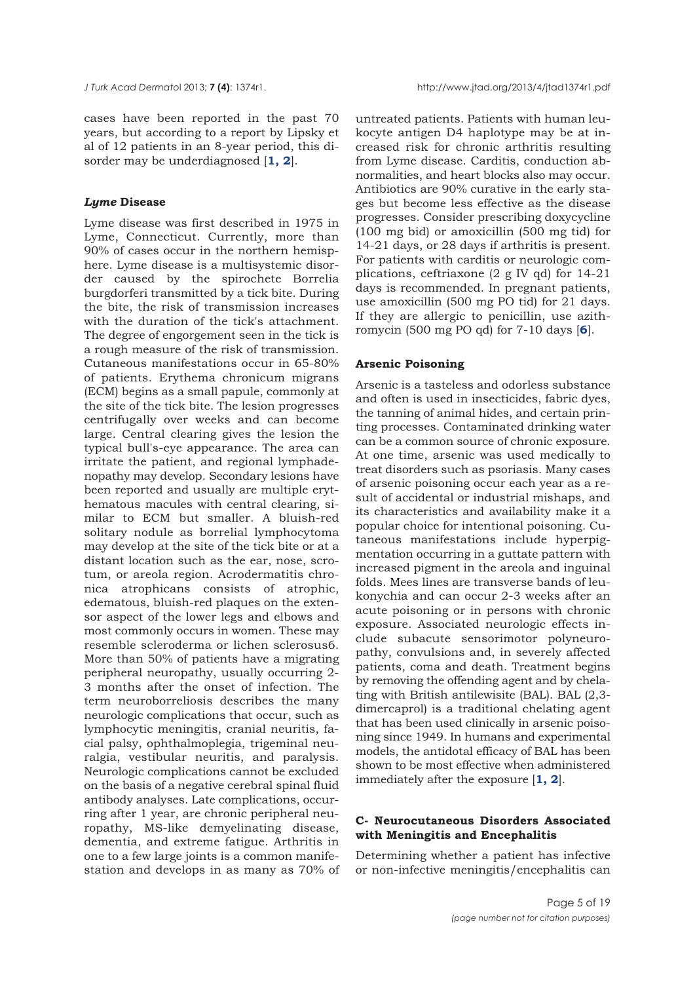cases have been reported in the past 70 years, but according to a report by Lipsky et al of 12 patients in an 8-year period, this disorder may be underdiagnosed [**1, 2**].

#### *Lyme* **Disease**

Lyme disease was first described in 1975 in Lyme, Connecticut. Currently, more than 90% of cases occur in the northern hemisphere. Lyme disease is a multisystemic disorder caused by the spirochete Borrelia burgdorferi transmitted by a tick bite. During the bite, the risk of transmission increases with the duration of the tick's attachment. The degree of engorgement seen in the tick is a rough measure of the risk of transmission. Cutaneous manifestations occur in 65-80% of patients. Erythema chronicum migrans (ECM) begins as a small papule, commonly at the site of the tick bite. The lesion progresses centrifugally over weeks and can become large. Central clearing gives the lesion the typical bull's-eye appearance. The area can irritate the patient, and regional lymphadenopathy may develop. Secondary lesions have been reported and usually are multiple erythematous macules with central clearing, similar to ECM but smaller. A bluish-red solitary nodule as borrelial lymphocytoma may develop at the site of the tick bite or at a distant location such as the ear, nose, scrotum, or areola region. Acrodermatitis chronica atrophicans consists of atrophic, edematous, bluish-red plaques on the extensor aspect of the lower legs and elbows and most commonly occurs in women. These may resemble scleroderma or lichen sclerosus6. More than 50% of patients have a migrating peripheral neuropathy, usually occurring 2- 3 months after the onset of infection. The term neuroborreliosis describes the many neurologic complications that occur, such as lymphocytic meningitis, cranial neuritis, facial palsy, ophthalmoplegia, trigeminal neuralgia, vestibular neuritis, and paralysis. Neurologic complications cannot be excluded on the basis of a negative cerebral spinal fluid antibody analyses. Late complications, occurring after 1 year, are chronic peripheral neuropathy, MS-like demyelinating disease, dementia, and extreme fatigue. Arthritis in one to a few large joints is a common manifestation and develops in as many as 70% of

untreated patients. Patients with human leukocyte antigen D4 haplotype may be at increased risk for chronic arthritis resulting from Lyme disease. Carditis, conduction abnormalities, and heart blocks also may occur. Antibiotics are 90% curative in the early stages but become less effective as the disease progresses. Consider prescribing doxycycline (100 mg bid) or amoxicillin (500 mg tid) for 14-21 days, or 28 days if arthritis is present. For patients with carditis or neurologic complications, ceftriaxone (2 g IV qd) for 14-21 days is recommended. In pregnant patients, use amoxicillin (500 mg PO tid) for 21 days. If they are allergic to penicillin, use azithromycin (500 mg PO qd) for 7-10 days [**6**].

#### **Arsenic Poisoning**

Arsenic is a tasteless and odorless substance and often is used in insecticides, fabric dyes, the tanning of animal hides, and certain printing processes. Contaminated drinking water can be a common source of chronic exposure. At one time, arsenic was used medically to treat disorders such as psoriasis. Many cases of arsenic poisoning occur each year as a result of accidental or industrial mishaps, and its characteristics and availability make it a popular choice for intentional poisoning. Cutaneous manifestations include hyperpigmentation occurring in a guttate pattern with increased pigment in the areola and inguinal folds. Mees lines are transverse bands of leukonychia and can occur 2-3 weeks after an acute poisoning or in persons with chronic exposure. Associated neurologic effects include subacute sensorimotor polyneuropathy, convulsions and, in severely affected patients, coma and death. Treatment begins by removing the offending agent and by chelating with British antilewisite (BAL). BAL (2,3 dimercaprol) is a traditional chelating agent that has been used clinically in arsenic poisoning since 1949. In humans and experimental models, the antidotal efficacy of BAL has been shown to be most effective when administered immediately after the exposure [**1, 2**].

## **C- Neurocutaneous Disorders Associated with Meningitis and Encephalitis**

Determining whether a patient has infective or non-infective meningitis/encephalitis can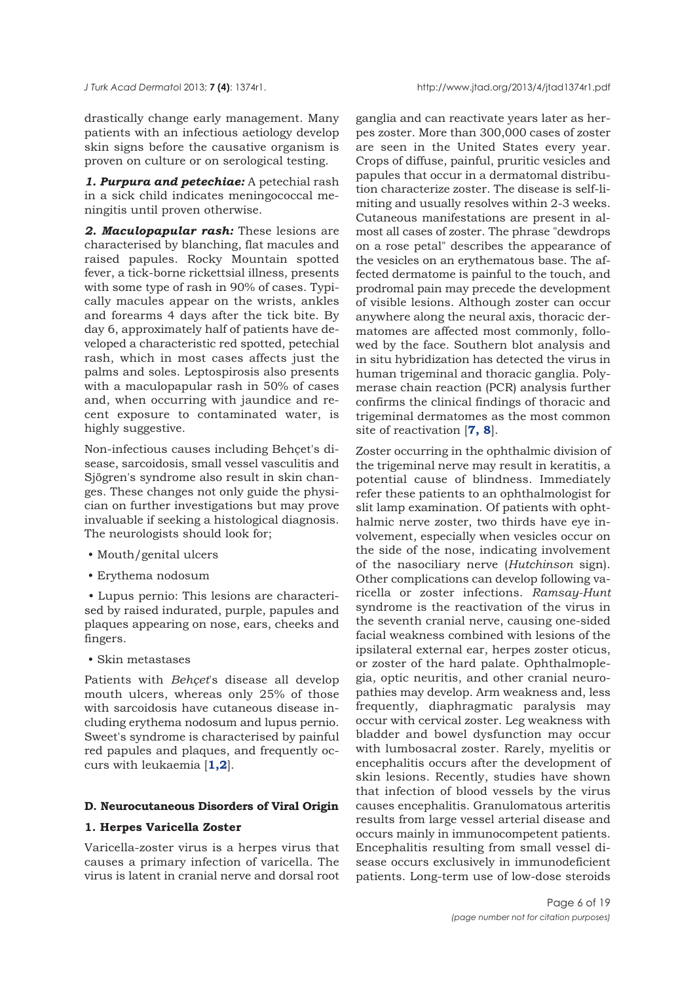drastically change early management. Many patients with an infectious aetiology develop skin signs before the causative organism is proven on culture or on serological testing.

*1. Purpura and petechiae:* A petechial rash in a sick child indicates meningococcal meningitis until proven otherwise.

*2. Maculopapular rash:* These lesions are characterised by blanching, flat macules and raised papules. Rocky Mountain spotted fever, a tick-borne rickettsial illness, presents with some type of rash in 90% of cases. Typically macules appear on the wrists, ankles and forearms 4 days after the tick bite. By day 6, approximately half of patients have developed a characteristic red spotted, petechial rash, which in most cases affects just the palms and soles. Leptospirosis also presents with a maculopapular rash in 50% of cases and, when occurring with jaundice and recent exposure to contaminated water, is highly suggestive.

Non-infectious causes including Behçet's disease, sarcoidosis, small vessel vasculitis and Sjögren's syndrome also result in skin changes. These changes not only guide the physician on further investigations but may prove invaluable if seeking a histological diagnosis. The neurologists should look for;

- Mouth/genital ulcers
- Erythema nodosum

• Lupus pernio: This lesions are characterised by raised indurated, purple, papules and plaques appearing on nose, ears, cheeks and fingers.

• Skin metastases

Patients with *Behçet*'s disease all develop mouth ulcers, whereas only 25% of those with sarcoidosis have cutaneous disease including erythema nodosum and lupus pernio. Sweet's syndrome is characterised by painful red papules and plaques, and frequently occurs with leukaemia [**1,2**].

#### **D. Neurocutaneous Disorders of Viral Origin**

### **1. Herpes Varicella Zoster**

Varicella-zoster virus is a herpes virus that causes a primary infection of varicella. The virus is latent in cranial nerve and dorsal root

ganglia and can reactivate years later as herpes zoster. More than 300,000 cases of zoster are seen in the United States every year. Crops of diffuse, painful, pruritic vesicles and papules that occur in a dermatomal distribution characterize zoster. The disease is self-limiting and usually resolves within 2-3 weeks. Cutaneous manifestations are present in almost all cases of zoster. The phrase "dewdrops on a rose petal" describes the appearance of the vesicles on an erythematous base. The affected dermatome is painful to the touch, and prodromal pain may precede the development of visible lesions. Although zoster can occur anywhere along the neural axis, thoracic dermatomes are affected most commonly, followed by the face. Southern blot analysis and in situ hybridization has detected the virus in human trigeminal and thoracic ganglia. Polymerase chain reaction (PCR) analysis further confirms the clinical findings of thoracic and trigeminal dermatomes as the most common site of reactivation [**7, 8**].

Zoster occurring in the ophthalmic division of the trigeminal nerve may result in keratitis, a potential cause of blindness. Immediately refer these patients to an ophthalmologist for slit lamp examination. Of patients with ophthalmic nerve zoster, two thirds have eye involvement, especially when vesicles occur on the side of the nose, indicating involvement of the nasociliary nerve (*Hutchinson* sign). Other complications can develop following varicella or zoster infections. *Ramsay-Hunt* syndrome is the reactivation of the virus in the seventh cranial nerve, causing one-sided facial weakness combined with lesions of the ipsilateral external ear, herpes zoster oticus, or zoster of the hard palate. Ophthalmoplegia, optic neuritis, and other cranial neuropathies may develop. Arm weakness and, less frequently, diaphragmatic paralysis may occur with cervical zoster. Leg weakness with bladder and bowel dysfunction may occur with lumbosacral zoster. Rarely, myelitis or encephalitis occurs after the development of skin lesions. Recently, studies have shown that infection of blood vessels by the virus causes encephalitis. Granulomatous arteritis results from large vessel arterial disease and occurs mainly in immunocompetent patients. Encephalitis resulting from small vessel disease occurs exclusively in immunodeficient patients. Long-term use of low-dose steroids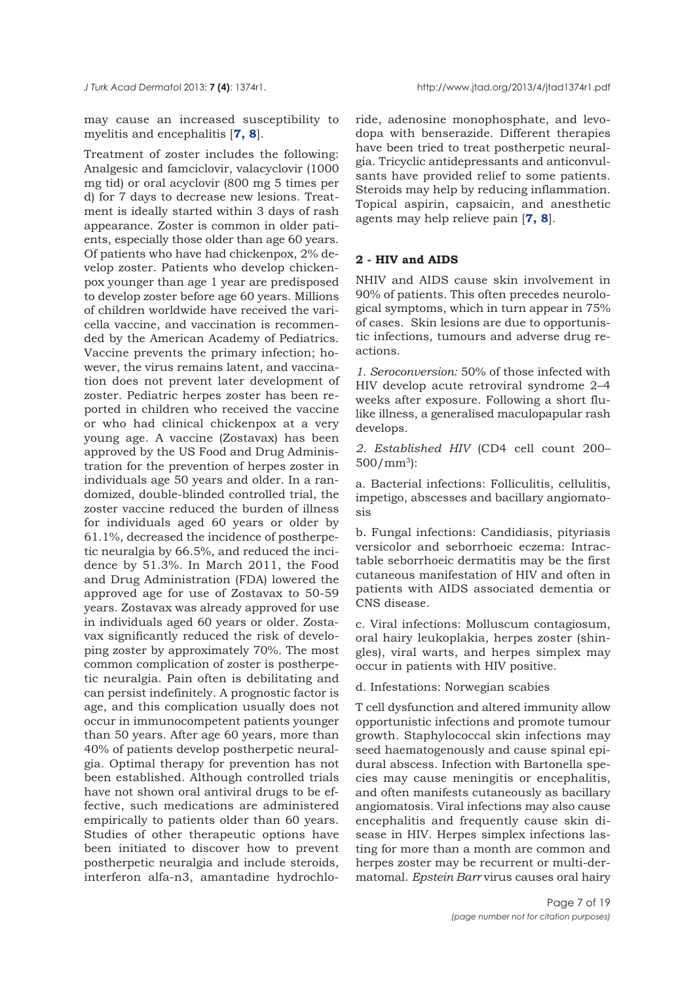may cause an increased susceptibility to myelitis and encephalitis [**7, 8**].

Treatment of zoster includes the following: Analgesic and famciclovir, valacyclovir (1000 mg tid) or oral acyclovir (800 mg 5 times per d) for 7 days to decrease new lesions. Treatment is ideally started within 3 days of rash appearance. Zoster is common in older patients, especially those older than age 60 years. Of patients who have had chickenpox, 2% develop zoster. Patients who develop chickenpox younger than age 1 year are predisposed to develop zoster before age 60 years. Millions of children worldwide have received the varicella vaccine, and vaccination is recommended by the American Academy of Pediatrics. Vaccine prevents the primary infection; however, the virus remains latent, and vaccination does not prevent later development of zoster. Pediatric herpes zoster has been reported in children who received the vaccine or who had clinical chickenpox at a very young age. A vaccine (Zostavax) has been approved by the US Food and Drug Administration for the prevention of herpes zoster in individuals age 50 years and older. In a randomized, double-blinded controlled trial, the zoster vaccine reduced the burden of illness for individuals aged 60 years or older by 61.1%, decreased the incidence of postherpetic neuralgia by 66.5%, and reduced the incidence by 51.3%. In March 2011, the Food and Drug Administration (FDA) lowered the approved age for use of Zostavax to 50-59 years. Zostavax was already approved for use in individuals aged 60 years or older. Zostavax significantly reduced the risk of developing zoster by approximately 70%. The most common complication of zoster is postherpetic neuralgia. Pain often is debilitating and can persist indefinitely. A prognostic factor is age, and this complication usually does not occur in immunocompetent patients younger than 50 years. After age 60 years, more than 40% of patients develop postherpetic neuralgia. Optimal therapy for prevention has not been established. Although controlled trials have not shown oral antiviral drugs to be effective, such medications are administered empirically to patients older than 60 years. Studies of other therapeutic options have been initiated to discover how to prevent postherpetic neuralgia and include steroids, interferon alfa-n3, amantadine hydrochloride, adenosine monophosphate, and levodopa with benserazide. Different therapies have been tried to treat postherpetic neuralgia. Tricyclic antidepressants and anticonvulsants have provided relief to some patients. Steroids may help by reducing inflammation. Topical aspirin, capsaicin, and anesthetic agents may help relieve pain [**7, 8**].

### **2 - HIV and AIDS**

NHIV and AIDS cause skin involvement in 90% of patients. This often precedes neurological symptoms, which in turn appear in 75% of cases. Skin lesions are due to opportunistic infections, tumours and adverse drug reactions.

*1. Seroconversion:* 50% of those infected with HIV develop acute retroviral syndrome 2–4 weeks after exposure. Following a short flulike illness, a generalised maculopapular rash develops.

*2. Established HIV* (CD4 cell count 200–  $500/mm^3$ :

a. Bacterial infections: Folliculitis, cellulitis, impetigo, abscesses and bacillary angiomatosis

b. Fungal infections: Candidiasis, pityriasis versicolor and seborrhoeic eczema: Intractable seborrhoeic dermatitis may be the first cutaneous manifestation of HIV and often in patients with AIDS associated dementia or CNS disease.

c. Viral infections: Molluscum contagiosum, oral hairy leukoplakia, herpes zoster (shingles), viral warts, and herpes simplex may occur in patients with HIV positive.

d. Infestations: Norwegian scabies

T cell dysfunction and altered immunity allow opportunistic infections and promote tumour growth. Staphylococcal skin infections may seed haematogenously and cause spinal epidural abscess. Infection with Bartonella species may cause meningitis or encephalitis, and often manifests cutaneously as bacillary angiomatosis. Viral infections may also cause encephalitis and frequently cause skin disease in HIV. Herpes simplex infections lasting for more than a month are common and herpes zoster may be recurrent or multi-dermatomal. *Epstein Barr* virus causes oral hairy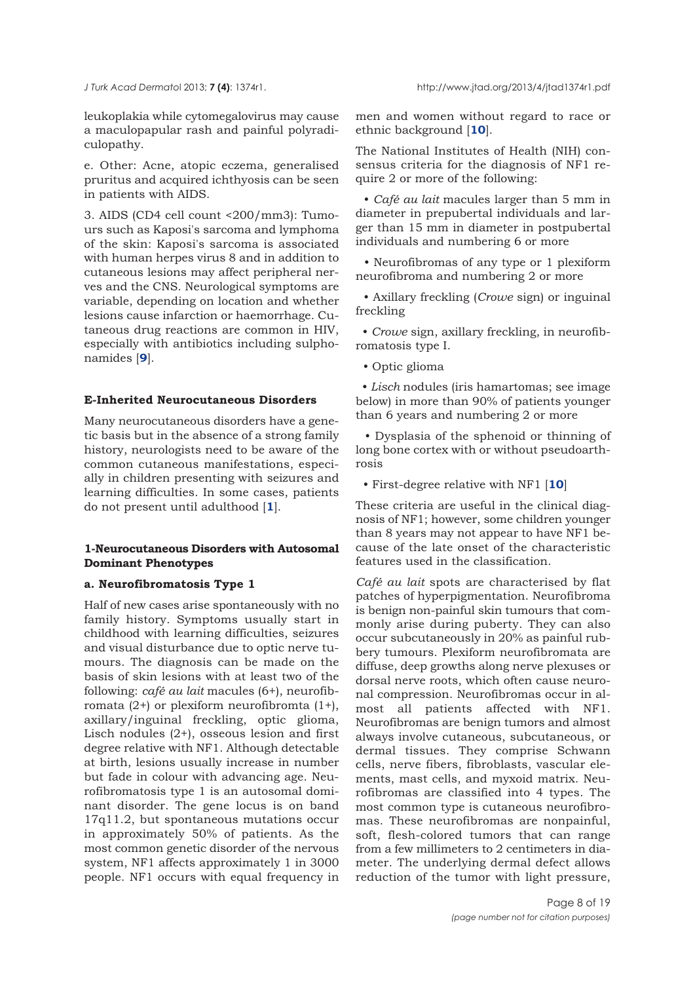leukoplakia while cytomegalovirus may cause a maculopapular rash and painful polyradiculopathy.

e. Other: Acne, atopic eczema, generalised pruritus and acquired ichthyosis can be seen in patients with AIDS.

3. AIDS (CD4 cell count <200/mm3): Tumours such as Kaposi's sarcoma and lymphoma of the skin: Kaposi's sarcoma is associated with human herpes virus 8 and in addition to cutaneous lesions may affect peripheral nerves and the CNS. Neurological symptoms are variable, depending on location and whether lesions cause infarction or haemorrhage. Cutaneous drug reactions are common in HIV, especially with antibiotics including sulphonamides [**9**].

### **E-Inherited Neurocutaneous Disorders**

Many neurocutaneous disorders have a genetic basis but in the absence of a strong family history, neurologists need to be aware of the common cutaneous manifestations, especially in children presenting with seizures and learning difficulties. In some cases, patients do not present until adulthood [**1**].

## **1-Neurocutaneous Disorders with Autosomal Dominant Phenotypes**

## **a. Neurofibromatosis Type 1**

Half of new cases arise spontaneously with no family history. Symptoms usually start in childhood with learning difficulties, seizures and visual disturbance due to optic nerve tumours. The diagnosis can be made on the basis of skin lesions with at least two of the following: *café au lait* macules (6+), neurofibromata (2+) or plexiform neurofibromta (1+), axillary/inguinal freckling, optic glioma, Lisch nodules (2+), osseous lesion and first degree relative with NF1. Although detectable at birth, lesions usually increase in number but fade in colour with advancing age. Neurofibromatosis type 1 is an autosomal dominant disorder. The gene locus is on band 17q11.2, but spontaneous mutations occur in approximately 50% of patients. As the most common genetic disorder of the nervous system, NF1 affects approximately 1 in 3000 people. NF1 occurs with equal frequency in

men and women without regard to race or ethnic background [**10**].

The National Institutes of Health (NIH) consensus criteria for the diagnosis of NF1 require 2 or more of the following:

• *Café au lait* macules larger than 5 mm in diameter in prepubertal individuals and larger than 15 mm in diameter in postpubertal individuals and numbering 6 or more

• Neurofibromas of any type or 1 plexiform neurofibroma and numbering 2 or more

• Axillary freckling (*Crowe* sign) or inguinal freckling

• *Crowe* sign, axillary freckling, in neurofibromatosis type I.

• Optic glioma

• *Lisch* nodules (iris hamartomas; see image below) in more than 90% of patients younger than 6 years and numbering 2 or more

• Dysplasia of the sphenoid or thinning of long bone cortex with or without pseudoarthrosis

• First-degree relative with NF1 [**10**]

These criteria are useful in the clinical diagnosis of NF1; however, some children younger than 8 years may not appear to have NF1 because of the late onset of the characteristic features used in the classification.

*Café au lait* spots are characterised by flat patches of hyperpigmentation. Neurofibroma is benign non-painful skin tumours that commonly arise during puberty. They can also occur subcutaneously in 20% as painful rubbery tumours. Plexiform neurofibromata are diffuse, deep growths along nerve plexuses or dorsal nerve roots, which often cause neuronal compression. Neurofibromas occur in almost all patients affected with NF1. Neurofibromas are benign tumors and almost always involve cutaneous, subcutaneous, or dermal tissues. They comprise Schwann cells, nerve fibers, fibroblasts, vascular elements, mast cells, and myxoid matrix. Neurofibromas are classified into 4 types. The most common type is cutaneous neurofibromas. These neurofibromas are nonpainful, soft, flesh-colored tumors that can range from a few millimeters to 2 centimeters in diameter. The underlying dermal defect allows reduction of the tumor with light pressure,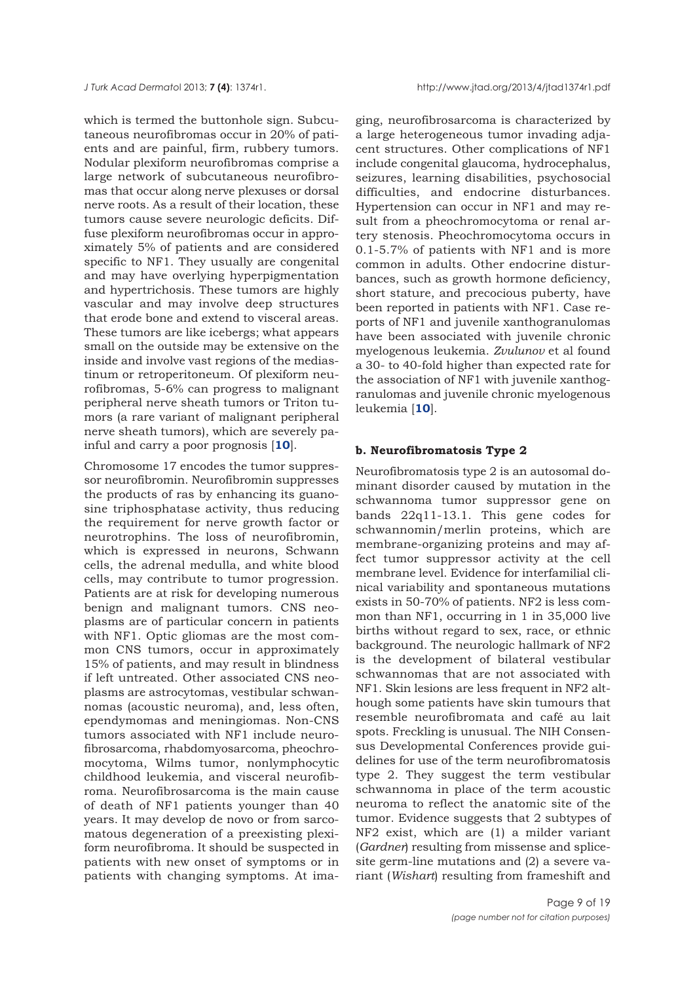which is termed the buttonhole sign. Subcutaneous neurofibromas occur in 20% of patients and are painful, firm, rubbery tumors. Nodular plexiform neurofibromas comprise a large network of subcutaneous neurofibromas that occur along nerve plexuses or dorsal nerve roots. As a result of their location, these tumors cause severe neurologic deficits. Diffuse plexiform neurofibromas occur in approximately 5% of patients and are considered specific to NF1. They usually are congenital and may have overlying hyperpigmentation and hypertrichosis. These tumors are highly vascular and may involve deep structures that erode bone and extend to visceral areas. These tumors are like icebergs; what appears small on the outside may be extensive on the inside and involve vast regions of the mediastinum or retroperitoneum. Of plexiform neurofibromas, 5-6% can progress to malignant peripheral nerve sheath tumors or Triton tumors (a rare variant of malignant peripheral nerve sheath tumors), which are severely painful and carry a poor prognosis [**10**].

Chromosome 17 encodes the tumor suppressor neurofibromin. Neurofibromin suppresses the products of ras by enhancing its guanosine triphosphatase activity, thus reducing the requirement for nerve growth factor or neurotrophins. The loss of neurofibromin, which is expressed in neurons, Schwann cells, the adrenal medulla, and white blood cells, may contribute to tumor progression. Patients are at risk for developing numerous benign and malignant tumors. CNS neoplasms are of particular concern in patients with NF1. Optic gliomas are the most common CNS tumors, occur in approximately 15% of patients, and may result in blindness if left untreated. Other associated CNS neoplasms are astrocytomas, vestibular schwannomas (acoustic neuroma), and, less often, ependymomas and meningiomas. Non-CNS tumors associated with NF1 include neurofibrosarcoma, rhabdomyosarcoma, pheochromocytoma, Wilms tumor, nonlymphocytic childhood leukemia, and visceral neurofibroma. Neurofibrosarcoma is the main cause of death of NF1 patients younger than 40 years. It may develop de novo or from sarcomatous degeneration of a preexisting plexiform neurofibroma. It should be suspected in patients with new onset of symptoms or in patients with changing symptoms. At ima-

ging, neurofibrosarcoma is characterized by a large heterogeneous tumor invading adjacent structures. Other complications of NF1 include congenital glaucoma, hydrocephalus, seizures, learning disabilities, psychosocial difficulties, and endocrine disturbances. Hypertension can occur in NF1 and may result from a pheochromocytoma or renal artery stenosis. Pheochromocytoma occurs in 0.1-5.7% of patients with NF1 and is more common in adults. Other endocrine disturbances, such as growth hormone deficiency, short stature, and precocious puberty, have been reported in patients with NF1. Case reports of NF1 and juvenile xanthogranulomas have been associated with juvenile chronic myelogenous leukemia. *Zvulunov* et al found a 30- to 40-fold higher than expected rate for the association of NF1 with juvenile xanthogranulomas and juvenile chronic myelogenous leukemia [**10**].

#### **b. Neurofibromatosis Type 2**

Neurofibromatosis type 2 is an autosomal dominant disorder caused by mutation in the schwannoma tumor suppressor gene on bands 22q11-13.1. This gene codes for schwannomin/merlin proteins, which are membrane-organizing proteins and may affect tumor suppressor activity at the cell membrane level. Evidence for interfamilial clinical variability and spontaneous mutations exists in 50-70% of patients. NF2 is less common than NF1, occurring in 1 in 35,000 live births without regard to sex, race, or ethnic background. The neurologic hallmark of NF2 is the development of bilateral vestibular schwannomas that are not associated with NF1. Skin lesions are less frequent in NF2 although some patients have skin tumours that resemble neurofibromata and café au lait spots. Freckling is unusual. The NIH Consensus Developmental Conferences provide guidelines for use of the term neurofibromatosis type 2. They suggest the term vestibular schwannoma in place of the term acoustic neuroma to reflect the anatomic site of the tumor. Evidence suggests that 2 subtypes of NF2 exist, which are (1) a milder variant (*Gardner*) resulting from missense and splicesite germ-line mutations and (2) a severe variant (*Wishart*) resulting from frameshift and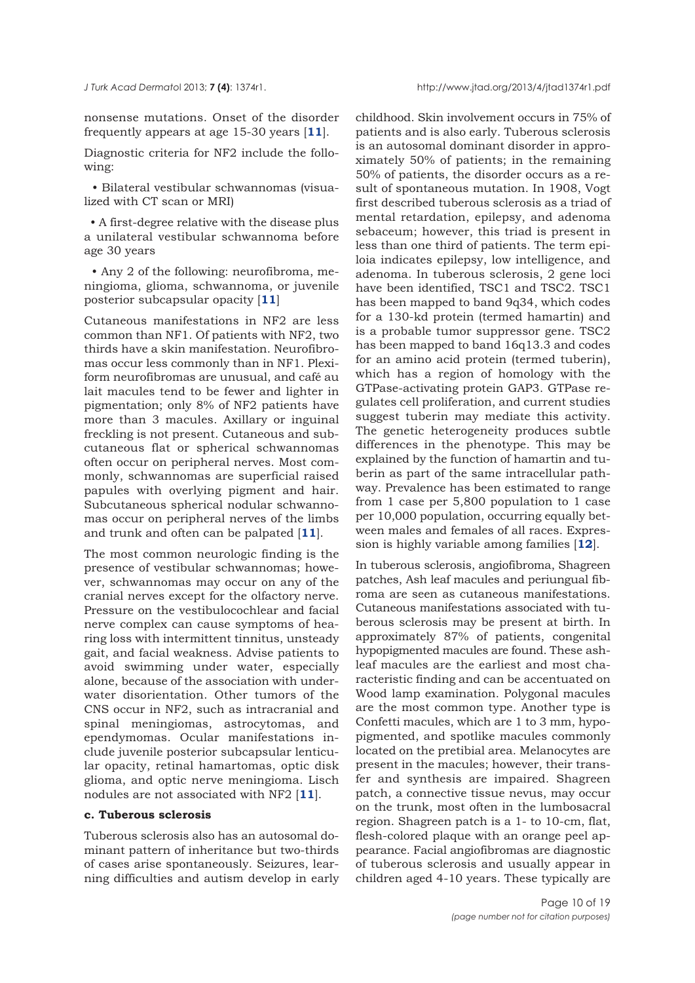nonsense mutations. Onset of the disorder frequently appears at age 15-30 years [**11**].

Diagnostic criteria for NF2 include the following:

• Bilateral vestibular schwannomas (visualized with CT scan or MRI)

• A first-degree relative with the disease plus a unilateral vestibular schwannoma before age 30 years

• Any 2 of the following: neurofibroma, meningioma, glioma, schwannoma, or juvenile posterior subcapsular opacity [**11**]

Cutaneous manifestations in NF2 are less common than NF1. Of patients with NF2, two thirds have a skin manifestation. Neurofibromas occur less commonly than in NF1. Plexiform neurofibromas are unusual, and café au lait macules tend to be fewer and lighter in pigmentation; only 8% of NF2 patients have more than 3 macules. Axillary or inguinal freckling is not present. Cutaneous and subcutaneous flat or spherical schwannomas often occur on peripheral nerves. Most commonly, schwannomas are superficial raised papules with overlying pigment and hair. Subcutaneous spherical nodular schwannomas occur on peripheral nerves of the limbs and trunk and often can be palpated [**11**].

The most common neurologic finding is the presence of vestibular schwannomas; however, schwannomas may occur on any of the cranial nerves except for the olfactory nerve. Pressure on the vestibulocochlear and facial nerve complex can cause symptoms of hearing loss with intermittent tinnitus, unsteady gait, and facial weakness. Advise patients to avoid swimming under water, especially alone, because of the association with underwater disorientation. Other tumors of the CNS occur in NF2, such as intracranial and spinal meningiomas, astrocytomas, and ependymomas. Ocular manifestations include juvenile posterior subcapsular lenticular opacity, retinal hamartomas, optic disk glioma, and optic nerve meningioma. Lisch nodules are not associated with NF2 [**11**].

#### **c. Tuberous sclerosis**

Tuberous sclerosis also has an autosomal dominant pattern of inheritance but two-thirds of cases arise spontaneously. Seizures, learning difficulties and autism develop in early

childhood. Skin involvement occurs in 75% of patients and is also early. Tuberous sclerosis is an autosomal dominant disorder in approximately 50% of patients; in the remaining 50% of patients, the disorder occurs as a result of spontaneous mutation. In 1908, Vogt first described tuberous sclerosis as a triad of mental retardation, epilepsy, and adenoma sebaceum; however, this triad is present in less than one third of patients. The term epiloia indicates epilepsy, low intelligence, and adenoma. In tuberous sclerosis, 2 gene loci have been identified, TSC1 and TSC2. TSC1 has been mapped to band 9q34, which codes for a 130-kd protein (termed hamartin) and is a probable tumor suppressor gene. TSC2 has been mapped to band 16q13.3 and codes for an amino acid protein (termed tuberin), which has a region of homology with the GTPase-activating protein GAP3. GTPase regulates cell proliferation, and current studies suggest tuberin may mediate this activity. The genetic heterogeneity produces subtle differences in the phenotype. This may be explained by the function of hamartin and tuberin as part of the same intracellular pathway. Prevalence has been estimated to range from 1 case per 5,800 population to 1 case per 10,000 population, occurring equally between males and females of all races. Expression is highly variable among families [**12**].

In tuberous sclerosis, angiofibroma, Shagreen patches, Ash leaf macules and periungual fibroma are seen as cutaneous manifestations. Cutaneous manifestations associated with tuberous sclerosis may be present at birth. In approximately 87% of patients, congenital hypopigmented macules are found. These ashleaf macules are the earliest and most characteristic finding and can be accentuated on Wood lamp examination. Polygonal macules are the most common type. Another type is Confetti macules, which are 1 to 3 mm, hypopigmented, and spotlike macules commonly located on the pretibial area. Melanocytes are present in the macules; however, their transfer and synthesis are impaired. Shagreen patch, a connective tissue nevus, may occur on the trunk, most often in the lumbosacral region. Shagreen patch is a 1- to 10-cm, flat, flesh-colored plaque with an orange peel appearance. Facial angiofibromas are diagnostic of tuberous sclerosis and usually appear in children aged 4-10 years. These typically are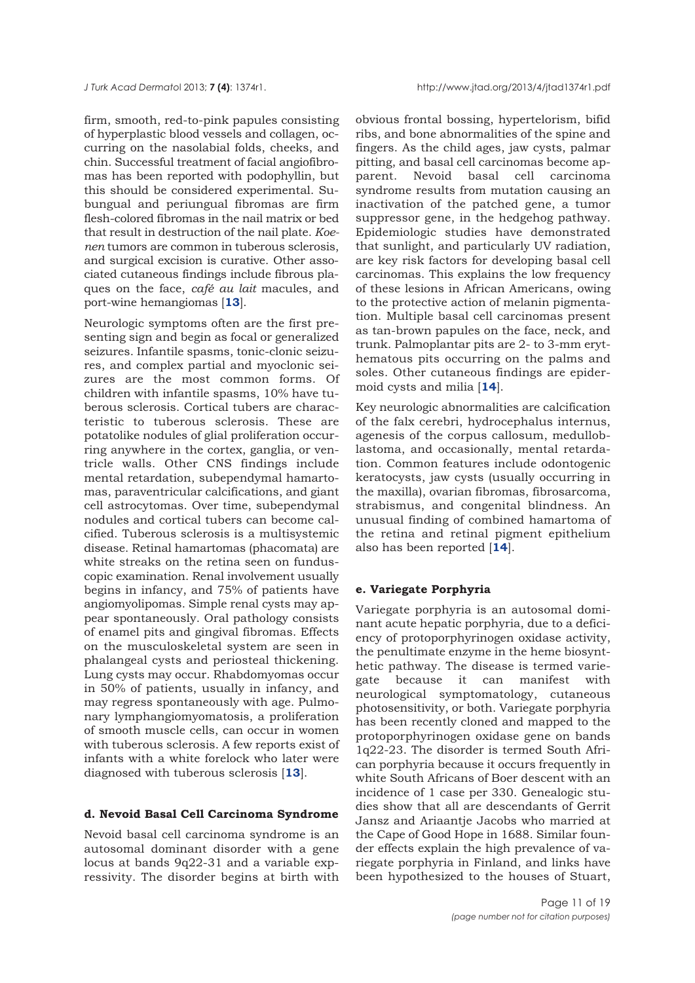firm, smooth, red-to-pink papules consisting of hyperplastic blood vessels and collagen, occurring on the nasolabial folds, cheeks, and chin. Successful treatment of facial angiofibromas has been reported with podophyllin, but this should be considered experimental. Subungual and periungual fibromas are firm flesh-colored fibromas in the nail matrix or bed that result in destruction of the nail plate. *Koenen* tumors are common in tuberous sclerosis, and surgical excision is curative. Other associated cutaneous findings include fibrous plaques on the face, *café au lait* macules, and port-wine hemangiomas [**13**].

Neurologic symptoms often are the first presenting sign and begin as focal or generalized seizures. Infantile spasms, tonic-clonic seizures, and complex partial and myoclonic seizures are the most common forms. Of children with infantile spasms, 10% have tuberous sclerosis. Cortical tubers are characteristic to tuberous sclerosis. These are potatolike nodules of glial proliferation occurring anywhere in the cortex, ganglia, or ventricle walls. Other CNS findings include mental retardation, subependymal hamartomas, paraventricular calcifications, and giant cell astrocytomas. Over time, subependymal nodules and cortical tubers can become calcified. Tuberous sclerosis is a multisystemic disease. Retinal hamartomas (phacomata) are white streaks on the retina seen on funduscopic examination. Renal involvement usually begins in infancy, and 75% of patients have angiomyolipomas. Simple renal cysts may appear spontaneously. Oral pathology consists of enamel pits and gingival fibromas. Effects on the musculoskeletal system are seen in phalangeal cysts and periosteal thickening. Lung cysts may occur. Rhabdomyomas occur in 50% of patients, usually in infancy, and may regress spontaneously with age. Pulmonary lymphangiomyomatosis, a proliferation of smooth muscle cells, can occur in women with tuberous sclerosis. A few reports exist of infants with a white forelock who later were diagnosed with tuberous sclerosis [**13**].

## **d. Nevoid Basal Cell Carcinoma Syndrome**

Nevoid basal cell carcinoma syndrome is an autosomal dominant disorder with a gene locus at bands 9q22-31 and a variable expressivity. The disorder begins at birth with

obvious frontal bossing, hypertelorism, bifid ribs, and bone abnormalities of the spine and fingers. As the child ages, jaw cysts, palmar pitting, and basal cell carcinomas become apparent. Nevoid basal cell carcinoma syndrome results from mutation causing an inactivation of the patched gene, a tumor suppressor gene, in the hedgehog pathway. Epidemiologic studies have demonstrated that sunlight, and particularly UV radiation, are key risk factors for developing basal cell carcinomas. This explains the low frequency of these lesions in African Americans, owing to the protective action of melanin pigmentation. Multiple basal cell carcinomas present as tan-brown papules on the face, neck, and trunk. Palmoplantar pits are 2- to 3-mm erythematous pits occurring on the palms and soles. Other cutaneous findings are epidermoid cysts and milia [**14**].

Key neurologic abnormalities are calcification of the falx cerebri, hydrocephalus internus, agenesis of the corpus callosum, medulloblastoma, and occasionally, mental retardation. Common features include odontogenic keratocysts, jaw cysts (usually occurring in the maxilla), ovarian fibromas, fibrosarcoma, strabismus, and congenital blindness. An unusual finding of combined hamartoma of the retina and retinal pigment epithelium also has been reported [**14**].

#### **e. Variegate Porphyria**

Variegate porphyria is an autosomal dominant acute hepatic porphyria, due to a deficiency of protoporphyrinogen oxidase activity, the penultimate enzyme in the heme biosynthetic pathway. The disease is termed variegate because it can manifest with neurological symptomatology, cutaneous photosensitivity, or both. Variegate porphyria has been recently cloned and mapped to the protoporphyrinogen oxidase gene on bands 1q22-23. The disorder is termed South African porphyria because it occurs frequently in white South Africans of Boer descent with an incidence of 1 case per 330. Genealogic studies show that all are descendants of Gerrit Jansz and Ariaantje Jacobs who married at the Cape of Good Hope in 1688. Similar founder effects explain the high prevalence of variegate porphyria in Finland, and links have been hypothesized to the houses of Stuart,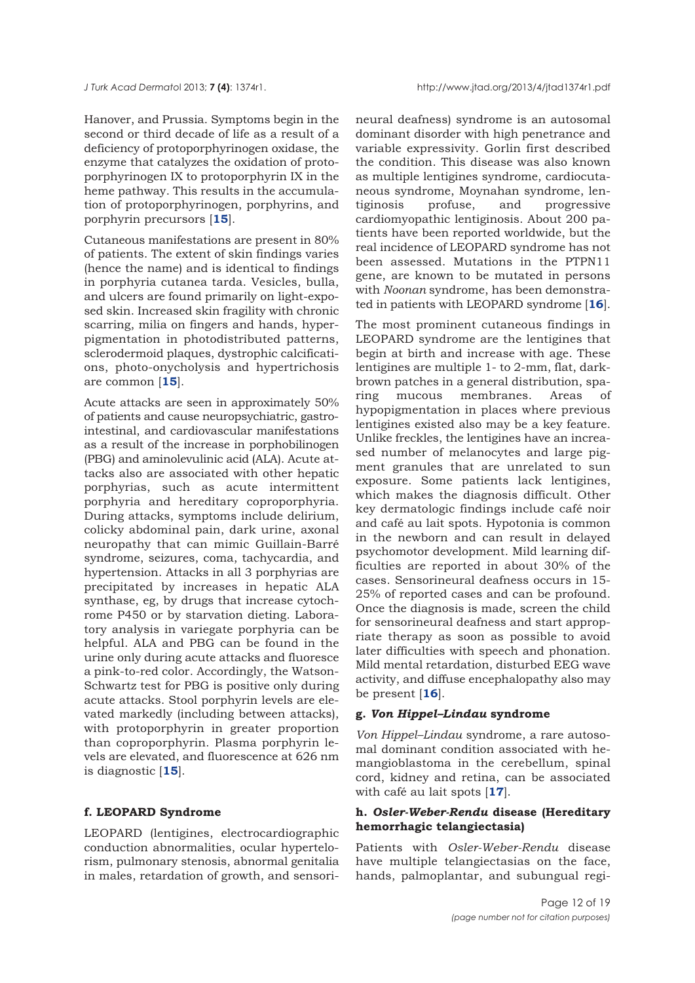Hanover, and Prussia. Symptoms begin in the second or third decade of life as a result of a deficiency of protoporphyrinogen oxidase, the enzyme that catalyzes the oxidation of protoporphyrinogen IX to protoporphyrin IX in the heme pathway. This results in the accumulation of protoporphyrinogen, porphyrins, and porphyrin precursors [**15**].

Cutaneous manifestations are present in 80% of patients. The extent of skin findings varies (hence the name) and is identical to findings in porphyria cutanea tarda. Vesicles, bulla, and ulcers are found primarily on light-exposed skin. Increased skin fragility with chronic scarring, milia on fingers and hands, hyperpigmentation in photodistributed patterns, sclerodermoid plaques, dystrophic calcifications, photo-onycholysis and hypertrichosis are common [**15**].

Acute attacks are seen in approximately 50% of patients and cause neuropsychiatric, gastrointestinal, and cardiovascular manifestations as a result of the increase in porphobilinogen (PBG) and aminolevulinic acid (ALA). Acute attacks also are associated with other hepatic porphyrias, such as acute intermittent porphyria and hereditary coproporphyria. During attacks, symptoms include delirium, colicky abdominal pain, dark urine, axonal neuropathy that can mimic Guillain-Barré syndrome, seizures, coma, tachycardia, and hypertension. Attacks in all 3 porphyrias are precipitated by increases in hepatic ALA synthase, eg, by drugs that increase cytochrome P450 or by starvation dieting. Laboratory analysis in variegate porphyria can be helpful. ALA and PBG can be found in the urine only during acute attacks and fluoresce a pink-to-red color. Accordingly, the Watson-Schwartz test for PBG is positive only during acute attacks. Stool porphyrin levels are elevated markedly (including between attacks), with protoporphyrin in greater proportion than coproporphyrin. Plasma porphyrin levels are elevated, and fluorescence at 626 nm is diagnostic [**15**].

## **f. LEOPARD Syndrome**

LEOPARD (lentigines, electrocardiographic conduction abnormalities, ocular hypertelorism, pulmonary stenosis, abnormal genitalia in males, retardation of growth, and sensorineural deafness) syndrome is an autosomal dominant disorder with high penetrance and variable expressivity. Gorlin first described the condition. This disease was also known as multiple lentigines syndrome, cardiocutaneous syndrome, Moynahan syndrome, lentiginosis profuse, and progressive cardiomyopathic lentiginosis. About 200 patients have been reported worldwide, but the real incidence of LEOPARD syndrome has not been assessed. Mutations in the PTPN11 gene, are known to be mutated in persons with *Noonan* syndrome, has been demonstrated in patients with LEOPARD syndrome [**16**].

The most prominent cutaneous findings in LEOPARD syndrome are the lentigines that begin at birth and increase with age. These lentigines are multiple 1- to 2-mm, flat, darkbrown patches in a general distribution, sparing mucous membranes. Areas of hypopigmentation in places where previous lentigines existed also may be a key feature. Unlike freckles, the lentigines have an increased number of melanocytes and large pigment granules that are unrelated to sun exposure. Some patients lack lentigines, which makes the diagnosis difficult. Other key dermatologic findings include café noir and café au lait spots. Hypotonia is common in the newborn and can result in delayed psychomotor development. Mild learning difficulties are reported in about 30% of the cases. Sensorineural deafness occurs in 15- 25% of reported cases and can be profound. Once the diagnosis is made, screen the child for sensorineural deafness and start appropriate therapy as soon as possible to avoid later difficulties with speech and phonation. Mild mental retardation, disturbed EEG wave activity, and diffuse encephalopathy also may be present [**16**].

#### **g.** *Von Hippel–Lindau* **syndrome**

*Von Hippel–Lindau* syndrome, a rare autosomal dominant condition associated with hemangioblastoma in the cerebellum, spinal cord, kidney and retina, can be associated with café au lait spots [**17**].

## **h.** *Osler-Weber-Rendu* **disease (Hereditary hemorrhagic telangiectasia)**

Patients with *Osler-Weber-Rendu* disease have multiple telangiectasias on the face, hands, palmoplantar, and subungual regi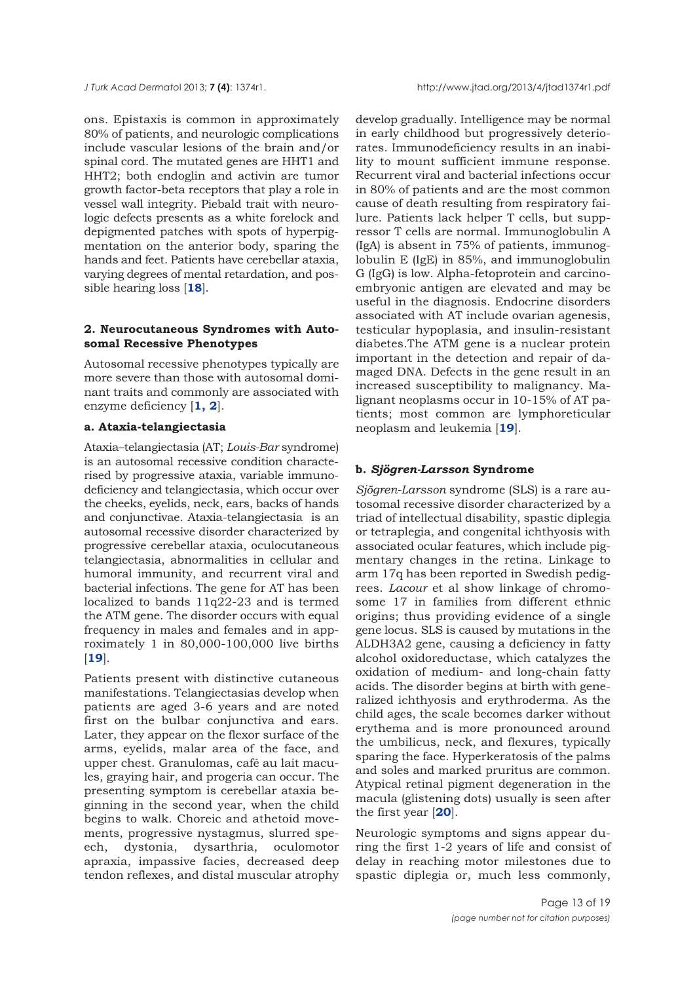ons. Epistaxis is common in approximately 80% of patients, and neurologic complications include vascular lesions of the brain and/or spinal cord. The mutated genes are HHT1 and HHT2; both endoglin and activin are tumor growth factor-beta receptors that play a role in vessel wall integrity. Piebald trait with neurologic defects presents as a white forelock and depigmented patches with spots of hyperpigmentation on the anterior body, sparing the hands and feet. Patients have cerebellar ataxia, varying degrees of mental retardation, and possible hearing loss [**18**].

## **2. Neurocutaneous Syndromes with Autosomal Recessive Phenotypes**

Autosomal recessive phenotypes typically are more severe than those with autosomal dominant traits and commonly are associated with enzyme deficiency [**1, 2**].

## **a. Ataxia-telangiectasia**

Ataxia–telangiectasia (AT; *Louis-Bar* syndrome) is an autosomal recessive condition characterised by progressive ataxia, variable immunodeficiency and telangiectasia, which occur over the cheeks, eyelids, neck, ears, backs of hands and conjunctivae. Ataxia-telangiectasia is an autosomal recessive disorder characterized by progressive cerebellar ataxia, oculocutaneous telangiectasia, abnormalities in cellular and humoral immunity, and recurrent viral and bacterial infections. The gene for AT has been localized to bands 11q22-23 and is termed the ATM gene. The disorder occurs with equal frequency in males and females and in approximately 1 in 80,000-100,000 live births [**19**].

Patients present with distinctive cutaneous manifestations. Telangiectasias develop when patients are aged 3-6 years and are noted first on the bulbar conjunctiva and ears. Later, they appear on the flexor surface of the arms, eyelids, malar area of the face, and upper chest. Granulomas, café au lait macules, graying hair, and progeria can occur. The presenting symptom is cerebellar ataxia beginning in the second year, when the child begins to walk. Choreic and athetoid movements, progressive nystagmus, slurred speech, dystonia, dysarthria, oculomotor apraxia, impassive facies, decreased deep tendon reflexes, and distal muscular atrophy

develop gradually. Intelligence may be normal in early childhood but progressively deteriorates. Immunodeficiency results in an inability to mount sufficient immune response. Recurrent viral and bacterial infections occur in 80% of patients and are the most common cause of death resulting from respiratory failure. Patients lack helper T cells, but suppressor T cells are normal. Immunoglobulin A (IgA) is absent in 75% of patients, immunoglobulin E (IgE) in 85%, and immunoglobulin G (IgG) is low. Alpha-fetoprotein and carcinoembryonic antigen are elevated and may be useful in the diagnosis. Endocrine disorders associated with AT include ovarian agenesis, testicular hypoplasia, and insulin-resistant diabetes.The ATM gene is a nuclear protein important in the detection and repair of damaged DNA. Defects in the gene result in an increased susceptibility to malignancy. Malignant neoplasms occur in 10-15% of AT patients; most common are lymphoreticular neoplasm and leukemia [**19**].

## **b.** *Sjögren-Larsson* **Syndrome**

*Sjögren-Larsson* syndrome (SLS) is a rare autosomal recessive disorder characterized by a triad of intellectual disability, spastic diplegia or tetraplegia, and congenital ichthyosis with associated ocular features, which include pigmentary changes in the retina. Linkage to arm 17q has been reported in Swedish pedigrees. *Lacour* et al show linkage of chromosome 17 in families from different ethnic origins; thus providing evidence of a single gene locus. SLS is caused by mutations in the ALDH3A2 gene, causing a deficiency in fatty alcohol oxidoreductase, which catalyzes the oxidation of medium- and long-chain fatty acids. The disorder begins at birth with generalized ichthyosis and erythroderma. As the child ages, the scale becomes darker without erythema and is more pronounced around the umbilicus, neck, and flexures, typically sparing the face. Hyperkeratosis of the palms and soles and marked pruritus are common. Atypical retinal pigment degeneration in the macula (glistening dots) usually is seen after the first year [**20**].

Neurologic symptoms and signs appear during the first 1-2 years of life and consist of delay in reaching motor milestones due to spastic diplegia or, much less commonly,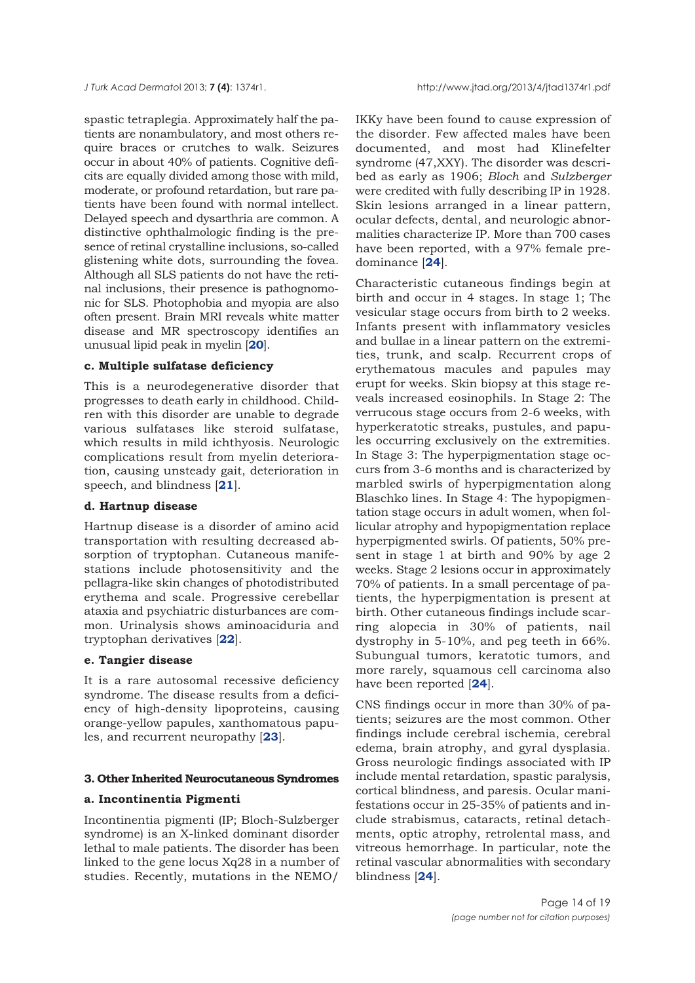spastic tetraplegia. Approximately half the patients are nonambulatory, and most others require braces or crutches to walk. Seizures occur in about 40% of patients. Cognitive deficits are equally divided among those with mild, moderate, or profound retardation, but rare patients have been found with normal intellect. Delayed speech and dysarthria are common. A distinctive ophthalmologic finding is the presence of retinal crystalline inclusions, so-called glistening white dots, surrounding the fovea. Although all SLS patients do not have the retinal inclusions, their presence is pathognomonic for SLS. Photophobia and myopia are also often present. Brain MRI reveals white matter disease and MR spectroscopy identifies an unusual lipid peak in myelin [**20**].

## **c. Multiple sulfatase deficiency**

This is a neurodegenerative disorder that progresses to death early in childhood. Children with this disorder are unable to degrade various sulfatases like steroid sulfatase, which results in mild ichthyosis. Neurologic complications result from myelin deterioration, causing unsteady gait, deterioration in speech, and blindness [**21**].

## **d. Hartnup disease**

Hartnup disease is a disorder of amino acid transportation with resulting decreased absorption of tryptophan. Cutaneous manifestations include photosensitivity and the pellagra-like skin changes of photodistributed erythema and scale. Progressive cerebellar ataxia and psychiatric disturbances are common. Urinalysis shows aminoaciduria and tryptophan derivatives [**22**].

#### **e. Tangier disease**

It is a rare autosomal recessive deficiency syndrome. The disease results from a deficiency of high-density lipoproteins, causing orange-yellow papules, xanthomatous papules, and recurrent neuropathy [**23**].

#### **3. Other Inherited Neurocutaneous Syndromes**

## **a. Incontinentia Pigmenti**

Incontinentia pigmenti (IP; Bloch-Sulzberger syndrome) is an X-linked dominant disorder lethal to male patients. The disorder has been linked to the gene locus Xq28 in a number of studies. Recently, mutations in the NEMO/

IKKy have been found to cause expression of the disorder. Few affected males have been documented, and most had Klinefelter syndrome (47,XXY). The disorder was described as early as 1906; *Bloch* and *Sulzberger* were credited with fully describing IP in 1928. Skin lesions arranged in a linear pattern, ocular defects, dental, and neurologic abnormalities characterize IP. More than 700 cases have been reported, with a 97% female predominance [**24**].

Characteristic cutaneous findings begin at birth and occur in 4 stages. In stage 1; The vesicular stage occurs from birth to 2 weeks. Infants present with inflammatory vesicles and bullae in a linear pattern on the extremities, trunk, and scalp. Recurrent crops of erythematous macules and papules may erupt for weeks. Skin biopsy at this stage reveals increased eosinophils. In Stage 2: The verrucous stage occurs from 2-6 weeks, with hyperkeratotic streaks, pustules, and papules occurring exclusively on the extremities. In Stage 3: The hyperpigmentation stage occurs from 3-6 months and is characterized by marbled swirls of hyperpigmentation along Blaschko lines. In Stage 4: The hypopigmentation stage occurs in adult women, when follicular atrophy and hypopigmentation replace hyperpigmented swirls. Of patients, 50% present in stage 1 at birth and 90% by age 2 weeks. Stage 2 lesions occur in approximately 70% of patients. In a small percentage of patients, the hyperpigmentation is present at birth. Other cutaneous findings include scarring alopecia in 30% of patients, nail dystrophy in 5-10%, and peg teeth in 66%. Subungual tumors, keratotic tumors, and more rarely, squamous cell carcinoma also have been reported [**24**].

CNS findings occur in more than 30% of patients; seizures are the most common. Other findings include cerebral ischemia, cerebral edema, brain atrophy, and gyral dysplasia. Gross neurologic findings associated with IP include mental retardation, spastic paralysis, cortical blindness, and paresis. Ocular manifestations occur in 25-35% of patients and include strabismus, cataracts, retinal detachments, optic atrophy, retrolental mass, and vitreous hemorrhage. In particular, note the retinal vascular abnormalities with secondary blindness [**24**].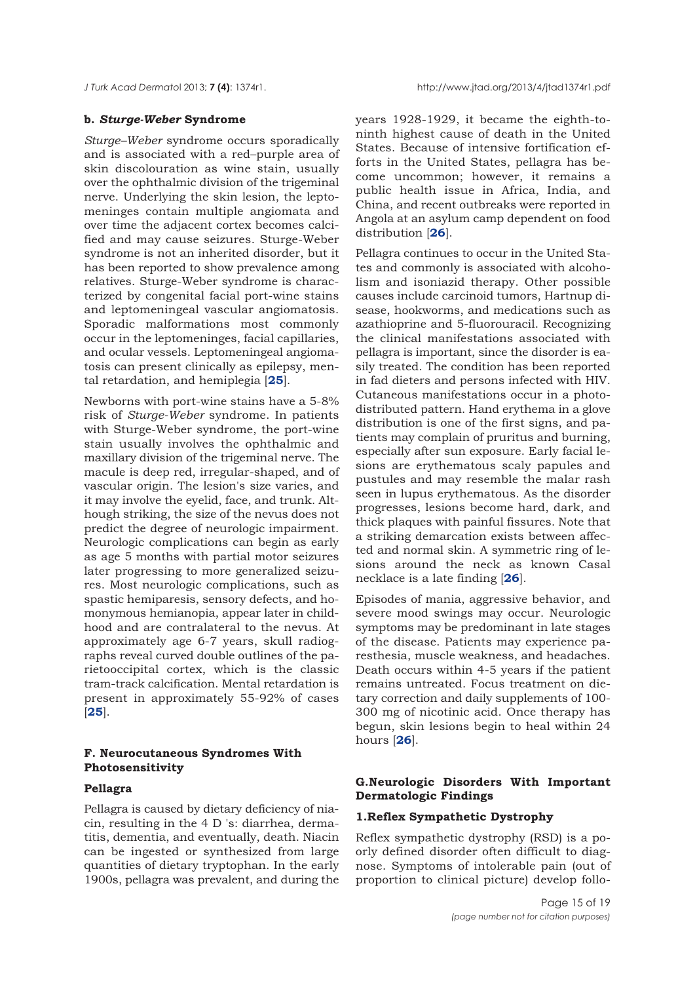#### **b.** *Sturge-Weber* **Syndrome**

*Sturge–Weber* syndrome occurs sporadically and is associated with a red–purple area of skin discolouration as wine stain, usually over the ophthalmic division of the trigeminal nerve. Underlying the skin lesion, the leptomeninges contain multiple angiomata and over time the adjacent cortex becomes calcified and may cause seizures. Sturge-Weber syndrome is not an inherited disorder, but it has been reported to show prevalence among relatives. Sturge-Weber syndrome is characterized by congenital facial port-wine stains and leptomeningeal vascular angiomatosis. Sporadic malformations most commonly occur in the leptomeninges, facial capillaries, and ocular vessels. Leptomeningeal angiomatosis can present clinically as epilepsy, mental retardation, and hemiplegia [**25**].

Newborns with port-wine stains have a 5-8% risk of *Sturge-Weber* syndrome. In patients with Sturge-Weber syndrome, the port-wine stain usually involves the ophthalmic and maxillary division of the trigeminal nerve. The macule is deep red, irregular-shaped, and of vascular origin. The lesion's size varies, and it may involve the eyelid, face, and trunk. Although striking, the size of the nevus does not predict the degree of neurologic impairment. Neurologic complications can begin as early as age 5 months with partial motor seizures later progressing to more generalized seizures. Most neurologic complications, such as spastic hemiparesis, sensory defects, and homonymous hemianopia, appear later in childhood and are contralateral to the nevus. At approximately age 6-7 years, skull radiographs reveal curved double outlines of the parietooccipital cortex, which is the classic tram-track calcification. Mental retardation is present in approximately 55-92% of cases [**25**].

# **F. Neurocutaneous Syndromes With Photosensitivity**

## **Pellagra**

Pellagra is caused by dietary deficiency of niacin, resulting in the 4 D 's: diarrhea, dermatitis, dementia, and eventually, death. Niacin can be ingested or synthesized from large quantities of dietary tryptophan. In the early 1900s, pellagra was prevalent, and during the

years 1928-1929, it became the eighth-toninth highest cause of death in the United States. Because of intensive fortification efforts in the United States, pellagra has become uncommon; however, it remains a public health issue in Africa, India, and China, and recent outbreaks were reported in Angola at an asylum camp dependent on food distribution [**26**].

Pellagra continues to occur in the United States and commonly is associated with alcoholism and isoniazid therapy. Other possible causes include carcinoid tumors, Hartnup disease, hookworms, and medications such as azathioprine and 5-fluorouracil. Recognizing the clinical manifestations associated with pellagra is important, since the disorder is easily treated. The condition has been reported in fad dieters and persons infected with HIV. Cutaneous manifestations occur in a photodistributed pattern. Hand erythema in a glove distribution is one of the first signs, and patients may complain of pruritus and burning, especially after sun exposure. Early facial lesions are erythematous scaly papules and pustules and may resemble the malar rash seen in lupus erythematous. As the disorder progresses, lesions become hard, dark, and thick plaques with painful fissures. Note that a striking demarcation exists between affected and normal skin. A symmetric ring of lesions around the neck as known Casal necklace is a late finding [**26**].

Episodes of mania, aggressive behavior, and severe mood swings may occur. Neurologic symptoms may be predominant in late stages of the disease. Patients may experience paresthesia, muscle weakness, and headaches. Death occurs within 4-5 years if the patient remains untreated. Focus treatment on dietary correction and daily supplements of 100- 300 mg of nicotinic acid. Once therapy has begun, skin lesions begin to heal within 24 hours [**26**].

## **G.Neurologic Disorders With Important Dermatologic Findings**

## **1.Reflex Sympathetic Dystrophy**

Reflex sympathetic dystrophy (RSD) is a poorly defined disorder often difficult to diagnose. Symptoms of intolerable pain (out of proportion to clinical picture) develop follo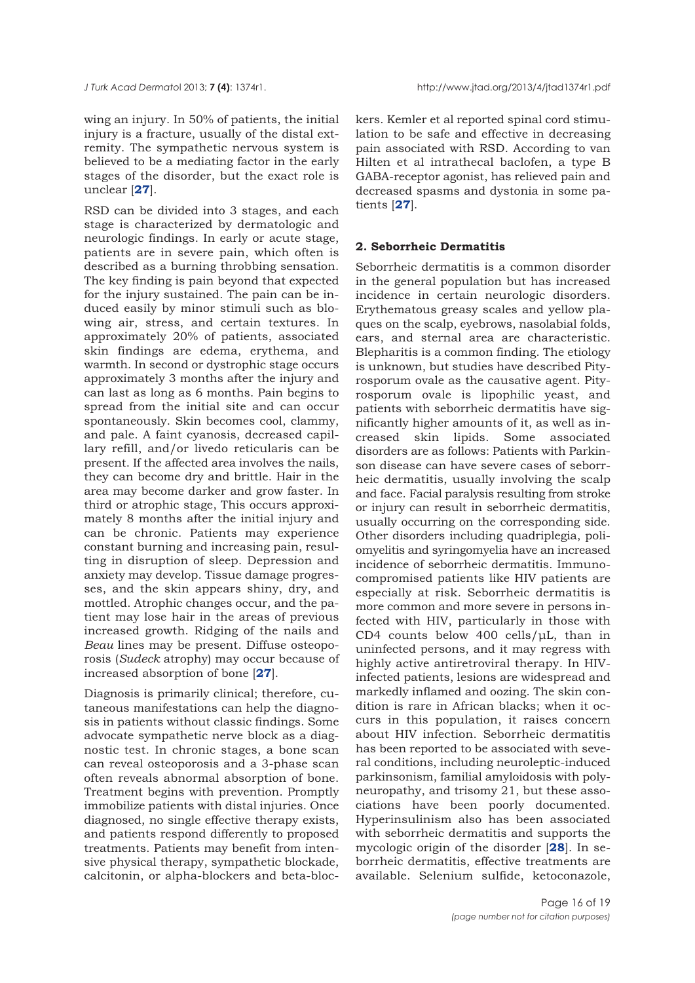wing an injury. In 50% of patients, the initial injury is a fracture, usually of the distal extremity. The sympathetic nervous system is believed to be a mediating factor in the early stages of the disorder, but the exact role is unclear [**27**].

RSD can be divided into 3 stages, and each stage is characterized by dermatologic and neurologic findings. In early or acute stage, patients are in severe pain, which often is described as a burning throbbing sensation. The key finding is pain beyond that expected for the injury sustained. The pain can be induced easily by minor stimuli such as blowing air, stress, and certain textures. In approximately 20% of patients, associated skin findings are edema, erythema, and warmth. In second or dystrophic stage occurs approximately 3 months after the injury and can last as long as 6 months. Pain begins to spread from the initial site and can occur spontaneously. Skin becomes cool, clammy, and pale. A faint cyanosis, decreased capillary refill, and/or livedo reticularis can be present. If the affected area involves the nails, they can become dry and brittle. Hair in the area may become darker and grow faster. In third or atrophic stage, This occurs approximately 8 months after the initial injury and can be chronic. Patients may experience constant burning and increasing pain, resulting in disruption of sleep. Depression and anxiety may develop. Tissue damage progresses, and the skin appears shiny, dry, and mottled. Atrophic changes occur, and the patient may lose hair in the areas of previous increased growth. Ridging of the nails and *Beau* lines may be present. Diffuse osteoporosis (*Sudeck* atrophy) may occur because of increased absorption of bone [**27**].

Diagnosis is primarily clinical; therefore, cutaneous manifestations can help the diagnosis in patients without classic findings. Some advocate sympathetic nerve block as a diagnostic test. In chronic stages, a bone scan can reveal osteoporosis and a 3-phase scan often reveals abnormal absorption of bone. Treatment begins with prevention. Promptly immobilize patients with distal injuries. Once diagnosed, no single effective therapy exists, and patients respond differently to proposed treatments. Patients may benefit from intensive physical therapy, sympathetic blockade, calcitonin, or alpha-blockers and beta-blockers. Kemler et al reported spinal cord stimulation to be safe and effective in decreasing pain associated with RSD. According to van Hilten et al intrathecal baclofen, a type B GABA-receptor agonist, has relieved pain and decreased spasms and dystonia in some patients [**27**].

#### **2. Seborrheic Dermatitis**

Seborrheic dermatitis is a common disorder in the general population but has increased incidence in certain neurologic disorders. Erythematous greasy scales and yellow plaques on the scalp, eyebrows, nasolabial folds, ears, and sternal area are characteristic. Blepharitis is a common finding. The etiology is unknown, but studies have described Pityrosporum ovale as the causative agent. Pityrosporum ovale is lipophilic yeast, and patients with seborrheic dermatitis have significantly higher amounts of it, as well as increased skin lipids. Some associated disorders are as follows: Patients with Parkinson disease can have severe cases of seborrheic dermatitis, usually involving the scalp and face. Facial paralysis resulting from stroke or injury can result in seborrheic dermatitis, usually occurring on the corresponding side. Other disorders including quadriplegia, poliomyelitis and syringomyelia have an increased incidence of seborrheic dermatitis. Immunocompromised patients like HIV patients are especially at risk. Seborrheic dermatitis is more common and more severe in persons infected with HIV, particularly in those with CD4 counts below 400 cells/μL, than in uninfected persons, and it may regress with highly active antiretroviral therapy. In HIVinfected patients, lesions are widespread and markedly inflamed and oozing. The skin condition is rare in African blacks; when it occurs in this population, it raises concern about HIV infection. Seborrheic dermatitis has been reported to be associated with several conditions, including neuroleptic-induced parkinsonism, familial amyloidosis with polyneuropathy, and trisomy 21, but these associations have been poorly documented. Hyperinsulinism also has been associated with seborrheic dermatitis and supports the mycologic origin of the disorder [**28**]. In seborrheic dermatitis, effective treatments are available. Selenium sulfide, ketoconazole,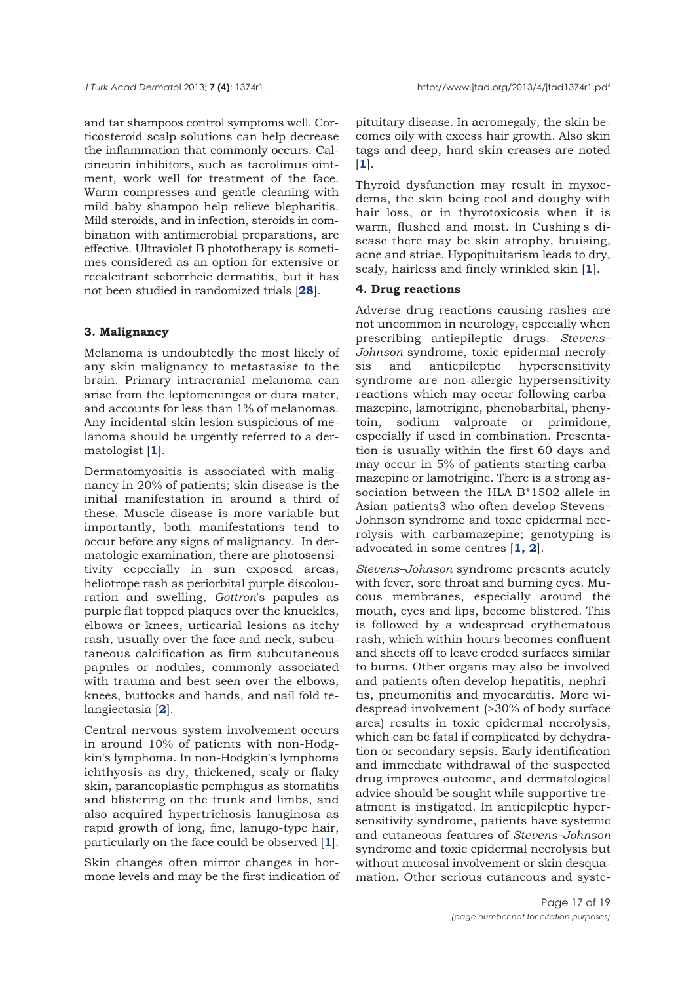and tar shampoos control symptoms well. Corticosteroid scalp solutions can help decrease the inflammation that commonly occurs. Calcineurin inhibitors, such as tacrolimus ointment, work well for treatment of the face. Warm compresses and gentle cleaning with mild baby shampoo help relieve blepharitis. Mild steroids, and in infection, steroids in combination with antimicrobial preparations, are effective. Ultraviolet B phototherapy is sometimes considered as an option for extensive or recalcitrant seborrheic dermatitis, but it has not been studied in randomized trials [**28**].

### **3. Malignancy**

Melanoma is undoubtedly the most likely of any skin malignancy to metastasise to the brain. Primary intracranial melanoma can arise from the leptomeninges or dura mater, and accounts for less than 1% of melanomas. Any incidental skin lesion suspicious of melanoma should be urgently referred to a dermatologist [**1**].

Dermatomyositis is associated with malignancy in 20% of patients; skin disease is the initial manifestation in around a third of these. Muscle disease is more variable but importantly, both manifestations tend to occur before any signs of malignancy. In dermatologic examination, there are photosensitivity ecpecially in sun exposed areas, heliotrope rash as periorbital purple discolouration and swelling, *Gottron*'s papules as purple flat topped plaques over the knuckles, elbows or knees, urticarial lesions as itchy rash, usually over the face and neck, subcutaneous calcification as firm subcutaneous papules or nodules, commonly associated with trauma and best seen over the elbows, knees, buttocks and hands, and nail fold telangiectasia [**2**].

Central nervous system involvement occurs in around 10% of patients with non-Hodgkin's lymphoma. In non-Hodgkin's lymphoma ichthyosis as dry, thickened, scaly or flaky skin, paraneoplastic pemphigus as stomatitis and blistering on the trunk and limbs, and also acquired hypertrichosis lanuginosa as rapid growth of long, fine, lanugo-type hair, particularly on the face could be observed [**1**].

Skin changes often mirror changes in hormone levels and may be the first indication of pituitary disease. In acromegaly, the skin becomes oily with excess hair growth. Also skin tags and deep, hard skin creases are noted [**1**].

Thyroid dysfunction may result in myxoedema, the skin being cool and doughy with hair loss, or in thyrotoxicosis when it is warm, flushed and moist. In Cushing's disease there may be skin atrophy, bruising, acne and striae. Hypopituitarism leads to dry, scaly, hairless and finely wrinkled skin [**1**].

## **4. Drug reactions**

Adverse drug reactions causing rashes are not uncommon in neurology, especially when prescribing antiepileptic drugs. *Stevens– Johnson* syndrome, toxic epidermal necrolysis and antiepileptic hypersensitivity syndrome are non-allergic hypersensitivity reactions which may occur following carbamazepine, lamotrigine, phenobarbital, phenytoin, sodium valproate or primidone, especially if used in combination. Presentation is usually within the first 60 days and may occur in 5% of patients starting carbamazepine or lamotrigine. There is a strong association between the HLA B\*1502 allele in Asian patients3 who often develop Stevens– Johnson syndrome and toxic epidermal necrolysis with carbamazepine; genotyping is advocated in some centres [**1, 2**].

*Stevens–Johnson* syndrome presents acutely with fever, sore throat and burning eyes. Mucous membranes, especially around the mouth, eyes and lips, become blistered. This is followed by a widespread erythematous rash, which within hours becomes confluent and sheets off to leave eroded surfaces similar to burns. Other organs may also be involved and patients often develop hepatitis, nephritis, pneumonitis and myocarditis. More widespread involvement (>30% of body surface area) results in toxic epidermal necrolysis, which can be fatal if complicated by dehydration or secondary sepsis. Early identification and immediate withdrawal of the suspected drug improves outcome, and dermatological advice should be sought while supportive treatment is instigated. In antiepileptic hypersensitivity syndrome, patients have systemic and cutaneous features of *Stevens–Johnson* syndrome and toxic epidermal necrolysis but without mucosal involvement or skin desquamation. Other serious cutaneous and syste-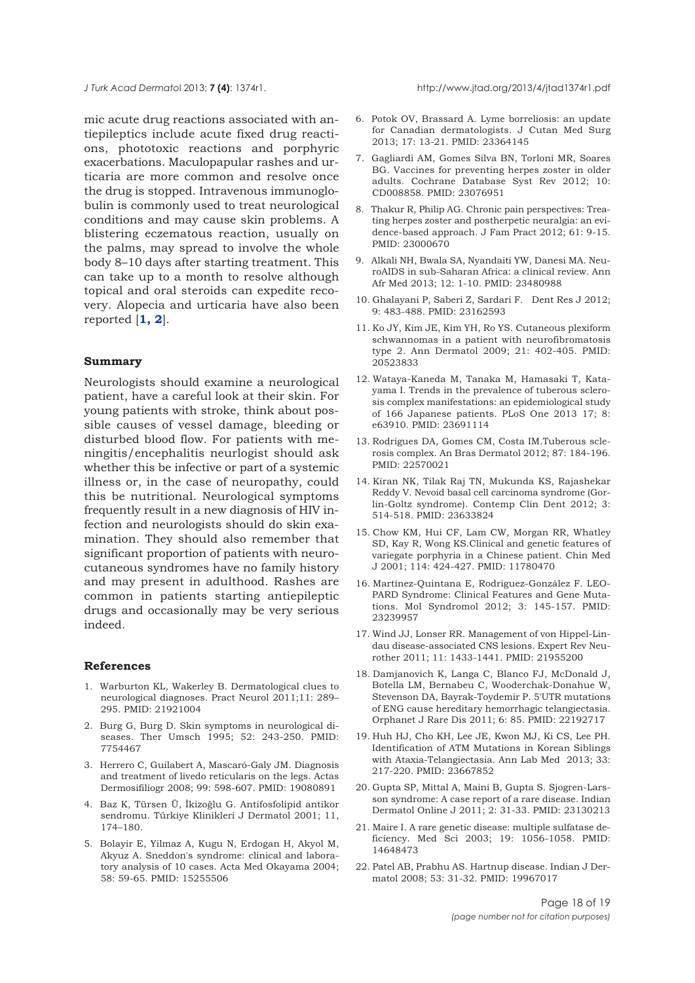mic acute drug reactions associated with antiepileptics include acute fixed drug reactions, phototoxic reactions and porphyric exacerbations. Maculopapular rashes and urticaria are more common and resolve once the drug is stopped. Intravenous immunoglobulin is commonly used to treat neurological conditions and may cause skin problems. A blistering eczematous reaction, usually on the palms, may spread to involve the whole body 8–10 days after starting treatment. This can take up to a month to resolve although topical and oral steroids can expedite recovery. Alopecia and urticaria have also been reported [**1, 2**].

#### **Summary**

Neurologists should examine a neurological patient, have a careful look at their skin. For young patients with stroke, think about possible causes of vessel damage, bleeding or disturbed blood flow. For patients with meningitis/encephalitis neurlogist should ask whether this be infective or part of a systemic illness or, in the case of neuropathy, could this be nutritional. Neurological symptoms frequently result in a new diagnosis of HIV infection and neurologists should do skin examination. They should also remember that significant proportion of patients with neurocutaneous syndromes have no family history and may present in adulthood. Rashes are common in patients starting antiepileptic drugs and occasionally may be very serious indeed.

#### **References**

- 1. Warburton KL, Wakerley B. Dermatological clues to neurological diagnoses. Pract Neurol 2011;11: 289– 295. PMID: 21921004
- 2. Burg G, Burg D. Skin symptoms in neurological diseases. Ther Umsch 1995; 52: 243-250. PMID: 7754467
- 3. Herrero C, Guilabert A, Mascaró-Galy JM. Diagnosis and treatment of livedo reticularis on the legs. Actas Dermosifiliogr 2008; 99: 598-607. PMID: 19080891
- 4. Baz K, Türsen Ü, İkizoğlu G. Antifosfolipid antikor sendromu. Türkiye Klinikleri J Dermatol 2001; 11, 174–180.
- 5. Bolayir E, Yilmaz A, Kugu N, Erdogan H, Akyol M, Akyuz A. Sneddon's syndrome: clinical and laboratory analysis of 10 cases. Acta Med Okayama 2004; 58: 59-65. PMID: 15255506
- 6. Potok OV, Brassard A. Lyme borreliosis: an update for Canadian dermatologists. J Cutan Med Surg 2013; 17: 13-21. PMID: 23364145
- 7. Gagliardi AM, Gomes Silva BN, Torloni MR, Soares BG. Vaccines for preventing herpes zoster in older adults. Cochrane Database Syst Rev 2012; 10: CD008858. PMID: 23076951
- 8. Thakur R, Philip AG. Chronic pain perspectives: Treating herpes zoster and postherpetic neuralgia: an evidence-based approach. J Fam Pract 2012; 61: 9-15. PMID: 23000670
- 9. Alkali NH, Bwala SA, Nyandaiti YW, Danesi MA. NeuroAIDS in sub-Saharan Africa: a clinical review. Ann Afr Med 2013; 12: 1-10. PMID: 23480988
- 10. Ghalayani P, Saberi Z, Sardari F. Dent Res J 2012; 9: 483-488. PMID: 23162593
- 11. Ko JY, Kim JE, Kim YH, Ro YS. Cutaneous plexiform schwannomas in a patient with neurofibromatosis type 2. Ann Dermatol 2009; 21: 402-405. PMID: 20523833
- 12. Wataya-Kaneda M, Tanaka M, Hamasaki T, Katayama I. Trends in the prevalence of tuberous sclerosis complex manifestations: an epidemiological study of 166 Japanese patients. PLoS One 2013 17; 8: e63910. PMID: 23691114
- 13. Rodrigues DA, Gomes CM, Costa IM.Tuberous sclerosis complex. An Bras Dermatol 2012; 87: 184-196. PMID: 22570021
- 14. Kiran NK, Tilak Raj TN, Mukunda KS, Rajashekar Reddy V. Nevoid basal cell carcinoma syndrome (Gorlin-Goltz syndrome). Contemp Clin Dent 2012; 3: 514-518. PMID: 23633824
- 15. Chow KM, Hui CF, Lam CW, Morgan RR, Whatley SD, Kay R, Wong KS.Clinical and genetic features of variegate porphyria in a Chinese patient. Chin Med J 2001; 114: 424-427. PMID: 11780470
- 16. Martínez-Quintana E, Rodríguez-González F. LEO-PARD Syndrome: Clinical Features and Gene Mutations. Mol Syndromol 2012; 3: 145-157. PMID: 23239957
- 17. Wind JJ, Lonser RR. Management of von Hippel-Lindau disease-associated CNS lesions. Expert Rev Neurother 2011; 11: 1433-1441. PMID: 21955200
- 18. Damjanovich K, Langa C, Blanco FJ, McDonald J, Botella LM, Bernabeu C, Wooderchak-Donahue W, Stevenson DA, Bayrak-Toydemir P. 5'UTR mutations of ENG cause hereditary hemorrhagic telangiectasia. Orphanet J Rare Dis 2011; 6: 85. PMID: 22192717
- 19. Huh HJ, Cho KH, Lee JE, Kwon MJ, Ki CS, Lee PH. Identification of ATM Mutations in Korean Siblings with Ataxia-Telangiectasia. Ann Lab Med 2013; 33: 217-220. PMID: 23667852
- 20. Gupta SP, Mittal A, Maini B, Gupta S. Sjogren-Larsson syndrome: A case report of a rare disease. Indian Dermatol Online J 2011; 2: 31-33. PMID: 23130213
- 21. Maire I. A rare genetic disease: multiple sulfatase deficiency. Med Sci 2003; 19: 1056-1058. PMID: 14648473
- 22. Patel AB, Prabhu AS. Hartnup disease. Indian J Dermatol 2008; 53: 31-32. PMID: 19967017